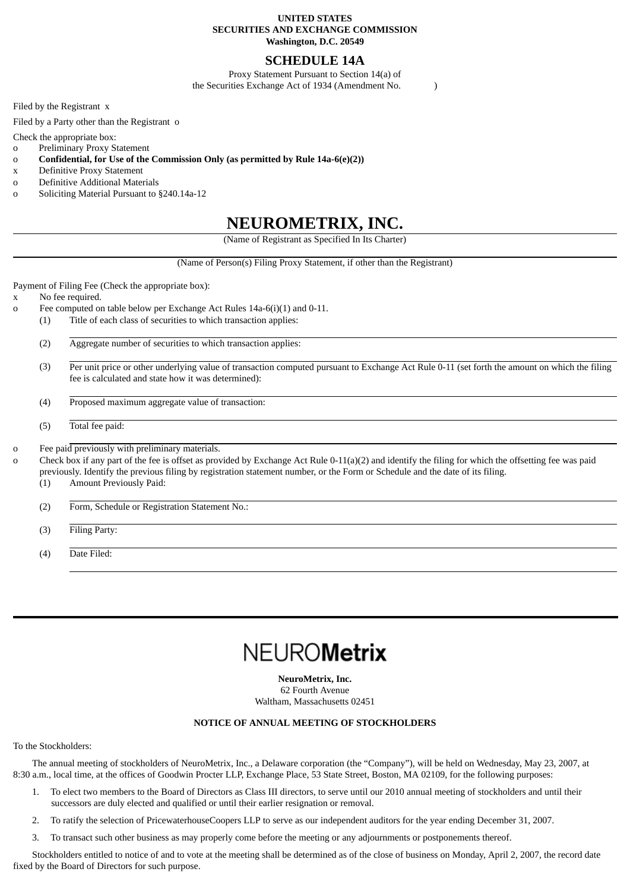# **UNITED STATES SECURITIES AND EXCHANGE COMMISSION Washington, D.C. 20549**

# **SCHEDULE 14A**

Proxy Statement Pursuant to Section 14(a) of the Securities Exchange Act of 1934 (Amendment No. )

Filed by the Registrant x

Filed by a Party other than the Registrant o

Check the appropriate box:

- o Preliminary Proxy Statement
- o **Confidential, for Use of the Commission Only (as permitted by Rule 14a-6(e)(2))**
- x Definitive Proxy Statement
- o Definitive Additional Materials
- o Soliciting Material Pursuant to §240.14a-12

# **NEUROMETRIX, INC.**

(Name of Registrant as Specified In Its Charter)

(Name of Person(s) Filing Proxy Statement, if other than the Registrant)

Payment of Filing Fee (Check the appropriate box):

- x No fee required.
- o Fee computed on table below per Exchange Act Rules 14a-6(i)(1) and 0-11.
	- (1) Title of each class of securities to which transaction applies:

(2) Aggregate number of securities to which transaction applies:

(3) Per unit price or other underlying value of transaction computed pursuant to Exchange Act Rule 0-11 (set forth the amount on which the filing fee is calculated and state how it was determined):

(4) Proposed maximum aggregate value of transaction:

(5) Total fee paid:

o Fee paid previously with preliminary materials.

Check box if any part of the fee is offset as provided by Exchange Act Rule 0-11(a)(2) and identify the filing for which the offsetting fee was paid previously. Identify the previous filing by registration statement number, or the Form or Schedule and the date of its filing.

(1) Amount Previously Paid:

(2) Form, Schedule or Registration Statement No.:

(3) Filing Party:

(4) Date Filed:

# **NEUROMetrix**

**NeuroMetrix, Inc.** 62 Fourth Avenue Waltham, Massachusetts 02451

# **NOTICE OF ANNUAL MEETING OF STOCKHOLDERS**

To the Stockholders:

The annual meeting of stockholders of NeuroMetrix, Inc., a Delaware corporation (the "Company"), will be held on Wednesday, May 23, 2007, at 8:30 a.m., local time, at the offices of Goodwin Procter LLP, Exchange Place, 53 State Street, Boston, MA 02109, for the following purposes:

- 1. To elect two members to the Board of Directors as Class III directors, to serve until our 2010 annual meeting of stockholders and until their successors are duly elected and qualified or until their earlier resignation or removal.
- 2. To ratify the selection of PricewaterhouseCoopers LLP to serve as our independent auditors for the year ending December 31, 2007.
- 3. To transact such other business as may properly come before the meeting or any adjournments or postponements thereof.

Stockholders entitled to notice of and to vote at the meeting shall be determined as of the close of business on Monday, April 2, 2007, the record date fixed by the Board of Directors for such purpose.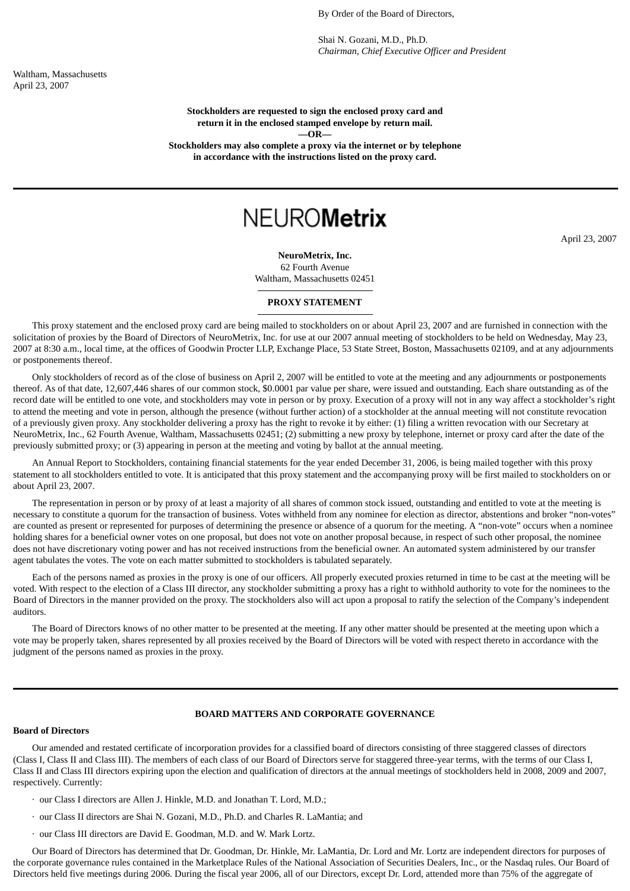By Order of the Board of Directors,

Shai N. Gozani, M.D., Ph.D. *Chairman, Chief Executive Officer and President*

Waltham, Massachusetts April 23, 2007

> **Stockholders are requested to sign the enclosed proxy card and return it in the enclosed stamped envelope by return mail. —OR—**

**Stockholders may also complete a proxy via the internet or by telephone in accordance with the instructions listed on the proxy card.**

# **NEUROMetrix**

April 23, 2007

**NeuroMetrix, Inc.** 62 Fourth Avenue Waltham, Massachusetts 02451

#### **PROXY STATEMENT**

This proxy statement and the enclosed proxy card are being mailed to stockholders on or about April 23, 2007 and are furnished in connection with the solicitation of proxies by the Board of Directors of NeuroMetrix, Inc. for use at our 2007 annual meeting of stockholders to be held on Wednesday, May 23, 2007 at 8:30 a.m., local time, at the offices of Goodwin Procter LLP, Exchange Place, 53 State Street, Boston, Massachusetts 02109, and at any adjournments or postponements thereof.

Only stockholders of record as of the close of business on April 2, 2007 will be entitled to vote at the meeting and any adjournments or postponements thereof. As of that date, 12,607,446 shares of our common stock, \$0.0001 par value per share, were issued and outstanding. Each share outstanding as of the record date will be entitled to one vote, and stockholders may vote in person or by proxy. Execution of a proxy will not in any way affect a stockholder's right to attend the meeting and vote in person, although the presence (without further action) of a stockholder at the annual meeting will not constitute revocation of a previously given proxy. Any stockholder delivering a proxy has the right to revoke it by either: (1) filing a written revocation with our Secretary at NeuroMetrix, Inc., 62 Fourth Avenue, Waltham, Massachusetts 02451; (2) submitting a new proxy by telephone, internet or proxy card after the date of the previously submitted proxy; or (3) appearing in person at the meeting and voting by ballot at the annual meeting.

An Annual Report to Stockholders, containing financial statements for the year ended December 31, 2006, is being mailed together with this proxy statement to all stockholders entitled to vote. It is anticipated that this proxy statement and the accompanying proxy will be first mailed to stockholders on or about April 23, 2007.

The representation in person or by proxy of at least a majority of all shares of common stock issued, outstanding and entitled to vote at the meeting is necessary to constitute a quorum for the transaction of business. Votes withheld from any nominee for election as director, abstentions and broker "non-votes" are counted as present or represented for purposes of determining the presence or absence of a quorum for the meeting. A "non-vote" occurs when a nominee holding shares for a beneficial owner votes on one proposal, but does not vote on another proposal because, in respect of such other proposal, the nominee does not have discretionary voting power and has not received instructions from the beneficial owner. An automated system administered by our transfer agent tabulates the votes. The vote on each matter submitted to stockholders is tabulated separately.

Each of the persons named as proxies in the proxy is one of our officers. All properly executed proxies returned in time to be cast at the meeting will be voted. With respect to the election of a Class III director, any stockholder submitting a proxy has a right to withhold authority to vote for the nominees to the Board of Directors in the manner provided on the proxy. The stockholders also will act upon a proposal to ratify the selection of the Company's independent auditors.

The Board of Directors knows of no other matter to be presented at the meeting. If any other matter should be presented at the meeting upon which a vote may be properly taken, shares represented by all proxies received by the Board of Directors will be voted with respect thereto in accordance with the judgment of the persons named as proxies in the proxy.

# **BOARD MATTERS AND CORPORATE GOVERNANCE**

#### **Board of Directors**

Our amended and restated certificate of incorporation provides for a classified board of directors consisting of three staggered classes of directors (Class I, Class II and Class III). The members of each class of our Board of Directors serve for staggered three-year terms, with the terms of our Class I, Class II and Class III directors expiring upon the election and qualification of directors at the annual meetings of stockholders held in 2008, 2009 and 2007, respectively. Currently:

- · our Class I directors are Allen J. Hinkle, M.D. and Jonathan T. Lord, M.D.;
- · our Class II directors are Shai N. Gozani, M.D., Ph.D. and Charles R. LaMantia; and
- · our Class III directors are David E. Goodman, M.D. and W. Mark Lortz.

Our Board of Directors has determined that Dr. Goodman, Dr. Hinkle, Mr. LaMantia, Dr. Lord and Mr. Lortz are independent directors for purposes of the corporate governance rules contained in the Marketplace Rules of the National Association of Securities Dealers, Inc., or the Nasdaq rules. Our Board of Directors held five meetings during 2006. During the fiscal year 2006, all of our Directors, except Dr. Lord, attended more than 75% of the aggregate of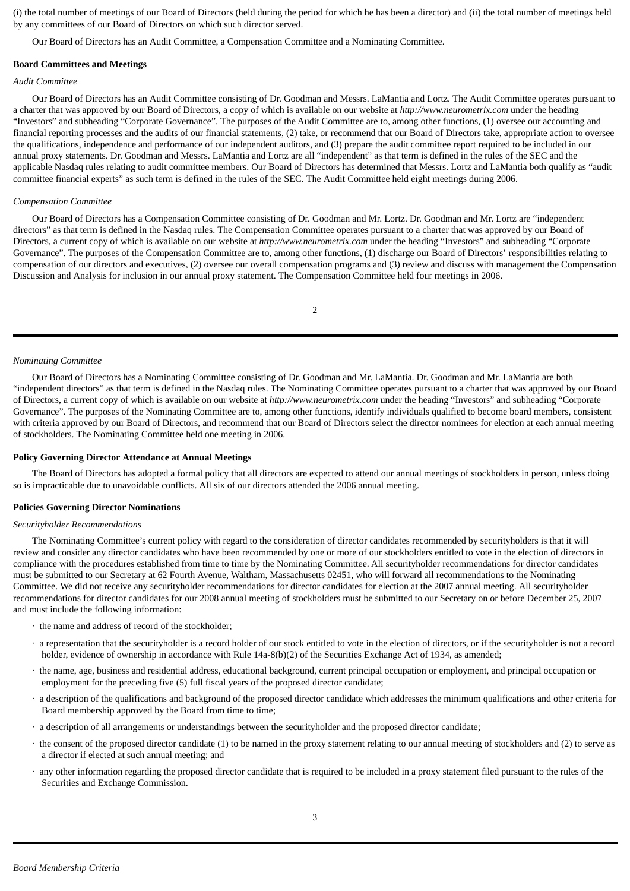(i) the total number of meetings of our Board of Directors (held during the period for which he has been a director) and (ii) the total number of meetings held by any committees of our Board of Directors on which such director served.

Our Board of Directors has an Audit Committee, a Compensation Committee and a Nominating Committee.

#### **Board Committees and Meetings**

#### *Audit Committee*

Our Board of Directors has an Audit Committee consisting of Dr. Goodman and Messrs. LaMantia and Lortz. The Audit Committee operates pursuant to a charter that was approved by our Board of Directors, a copy of which is available on our website at *http://www.neurometrix.com* under the heading "Investors" and subheading "Corporate Governance". The purposes of the Audit Committee are to, among other functions, (1) oversee our accounting and financial reporting processes and the audits of our financial statements, (2) take, or recommend that our Board of Directors take, appropriate action to oversee the qualifications, independence and performance of our independent auditors, and (3) prepare the audit committee report required to be included in our annual proxy statements. Dr. Goodman and Messrs. LaMantia and Lortz are all "independent" as that term is defined in the rules of the SEC and the applicable Nasdaq rules relating to audit committee members. Our Board of Directors has determined that Messrs. Lortz and LaMantia both qualify as "audit committee financial experts" as such term is defined in the rules of the SEC. The Audit Committee held eight meetings during 2006.

#### *Compensation Committee*

Our Board of Directors has a Compensation Committee consisting of Dr. Goodman and Mr. Lortz. Dr. Goodman and Mr. Lortz are "independent directors" as that term is defined in the Nasdaq rules. The Compensation Committee operates pursuant to a charter that was approved by our Board of Directors, a current copy of which is available on our website at *http://www.neurometrix.com* under the heading "Investors" and subheading "Corporate Governance". The purposes of the Compensation Committee are to, among other functions, (1) discharge our Board of Directors' responsibilities relating to compensation of our directors and executives, (2) oversee our overall compensation programs and (3) review and discuss with management the Compensation Discussion and Analysis for inclusion in our annual proxy statement. The Compensation Committee held four meetings in 2006.

2

#### *Nominating Committee*

Our Board of Directors has a Nominating Committee consisting of Dr. Goodman and Mr. LaMantia. Dr. Goodman and Mr. LaMantia are both "independent directors" as that term is defined in the Nasdaq rules. The Nominating Committee operates pursuant to a charter that was approved by our Board of Directors, a current copy of which is available on our website at *http://www.neurometrix.com* under the heading "Investors" and subheading "Corporate Governance". The purposes of the Nominating Committee are to, among other functions, identify individuals qualified to become board members, consistent with criteria approved by our Board of Directors, and recommend that our Board of Directors select the director nominees for election at each annual meeting of stockholders. The Nominating Committee held one meeting in 2006.

#### **Policy Governing Director Attendance at Annual Meetings**

The Board of Directors has adopted a formal policy that all directors are expected to attend our annual meetings of stockholders in person, unless doing so is impracticable due to unavoidable conflicts. All six of our directors attended the 2006 annual meeting.

#### **Policies Governing Director Nominations**

#### *Securityholder Recommendations*

The Nominating Committee's current policy with regard to the consideration of director candidates recommended by securityholders is that it will review and consider any director candidates who have been recommended by one or more of our stockholders entitled to vote in the election of directors in compliance with the procedures established from time to time by the Nominating Committee. All securityholder recommendations for director candidates must be submitted to our Secretary at 62 Fourth Avenue, Waltham, Massachusetts 02451, who will forward all recommendations to the Nominating Committee. We did not receive any securityholder recommendations for director candidates for election at the 2007 annual meeting. All securityholder recommendations for director candidates for our 2008 annual meeting of stockholders must be submitted to our Secretary on or before December 25, 2007 and must include the following information:

- · the name and address of record of the stockholder;
- · a representation that the securityholder is a record holder of our stock entitled to vote in the election of directors, or if the securityholder is not a record holder, evidence of ownership in accordance with Rule 14a-8(b)(2) of the Securities Exchange Act of 1934, as amended;
- · the name, age, business and residential address, educational background, current principal occupation or employment, and principal occupation or employment for the preceding five (5) full fiscal years of the proposed director candidate;
- · a description of the qualifications and background of the proposed director candidate which addresses the minimum qualifications and other criteria for Board membership approved by the Board from time to time;
- · a description of all arrangements or understandings between the securityholder and the proposed director candidate;
- · the consent of the proposed director candidate (1) to be named in the proxy statement relating to our annual meeting of stockholders and (2) to serve as a director if elected at such annual meeting; and
- · any other information regarding the proposed director candidate that is required to be included in a proxy statement filed pursuant to the rules of the Securities and Exchange Commission.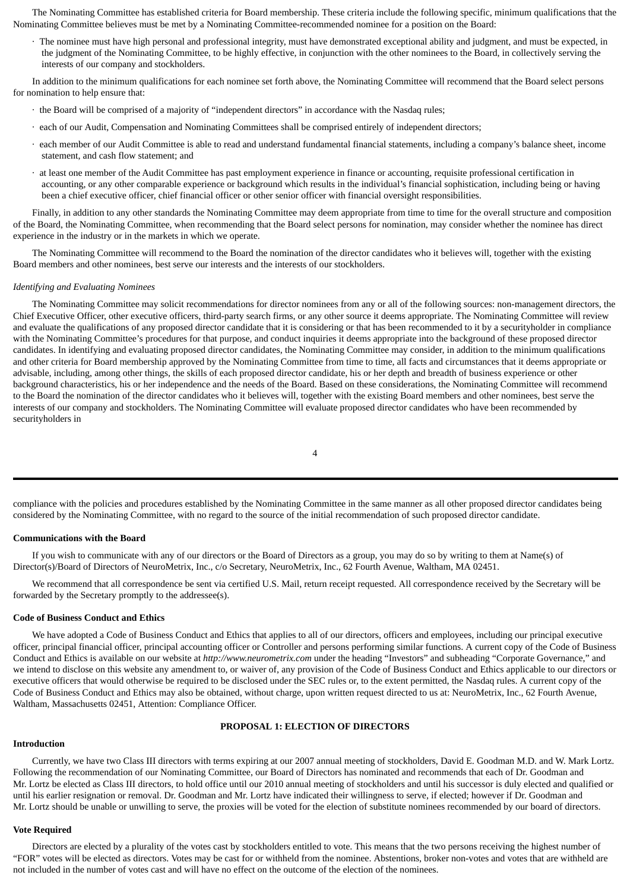The Nominating Committee has established criteria for Board membership. These criteria include the following specific, minimum qualifications that the Nominating Committee believes must be met by a Nominating Committee-recommended nominee for a position on the Board:

· The nominee must have high personal and professional integrity, must have demonstrated exceptional ability and judgment, and must be expected, in the judgment of the Nominating Committee, to be highly effective, in conjunction with the other nominees to the Board, in collectively serving the interests of our company and stockholders.

In addition to the minimum qualifications for each nominee set forth above, the Nominating Committee will recommend that the Board select persons for nomination to help ensure that:

- · the Board will be comprised of a majority of "independent directors" in accordance with the Nasdaq rules;
- · each of our Audit, Compensation and Nominating Committees shall be comprised entirely of independent directors;
- · each member of our Audit Committee is able to read and understand fundamental financial statements, including a company's balance sheet, income statement, and cash flow statement; and
- · at least one member of the Audit Committee has past employment experience in finance or accounting, requisite professional certification in accounting, or any other comparable experience or background which results in the individual's financial sophistication, including being or having been a chief executive officer, chief financial officer or other senior officer with financial oversight responsibilities.

Finally, in addition to any other standards the Nominating Committee may deem appropriate from time to time for the overall structure and composition of the Board, the Nominating Committee, when recommending that the Board select persons for nomination, may consider whether the nominee has direct experience in the industry or in the markets in which we operate.

The Nominating Committee will recommend to the Board the nomination of the director candidates who it believes will, together with the existing Board members and other nominees, best serve our interests and the interests of our stockholders.

#### *Identifying and Evaluating Nominees*

The Nominating Committee may solicit recommendations for director nominees from any or all of the following sources: non-management directors, the Chief Executive Officer, other executive officers, third-party search firms, or any other source it deems appropriate. The Nominating Committee will review and evaluate the qualifications of any proposed director candidate that it is considering or that has been recommended to it by a securityholder in compliance with the Nominating Committee's procedures for that purpose, and conduct inquiries it deems appropriate into the background of these proposed director candidates. In identifying and evaluating proposed director candidates, the Nominating Committee may consider, in addition to the minimum qualifications and other criteria for Board membership approved by the Nominating Committee from time to time, all facts and circumstances that it deems appropriate or advisable, including, among other things, the skills of each proposed director candidate, his or her depth and breadth of business experience or other background characteristics, his or her independence and the needs of the Board. Based on these considerations, the Nominating Committee will recommend to the Board the nomination of the director candidates who it believes will, together with the existing Board members and other nominees, best serve the interests of our company and stockholders. The Nominating Committee will evaluate proposed director candidates who have been recommended by securityholders in

4

compliance with the policies and procedures established by the Nominating Committee in the same manner as all other proposed director candidates being considered by the Nominating Committee, with no regard to the source of the initial recommendation of such proposed director candidate.

# **Communications with the Board**

If you wish to communicate with any of our directors or the Board of Directors as a group, you may do so by writing to them at Name(s) of Director(s)/Board of Directors of NeuroMetrix, Inc., c/o Secretary, NeuroMetrix, Inc., 62 Fourth Avenue, Waltham, MA 02451.

We recommend that all correspondence be sent via certified U.S. Mail, return receipt requested. All correspondence received by the Secretary will be forwarded by the Secretary promptly to the addressee(s).

#### **Code of Business Conduct and Ethics**

We have adopted a Code of Business Conduct and Ethics that applies to all of our directors, officers and employees, including our principal executive officer, principal financial officer, principal accounting officer or Controller and persons performing similar functions. A current copy of the Code of Business Conduct and Ethics is available on our website at *http://www.neurometrix.com* under the heading "Investors" and subheading "Corporate Governance," and we intend to disclose on this website any amendment to, or waiver of, any provision of the Code of Business Conduct and Ethics applicable to our directors or executive officers that would otherwise be required to be disclosed under the SEC rules or, to the extent permitted, the Nasdaq rules. A current copy of the Code of Business Conduct and Ethics may also be obtained, without charge, upon written request directed to us at: NeuroMetrix, Inc., 62 Fourth Avenue, Waltham, Massachusetts 02451, Attention: Compliance Officer.

#### **PROPOSAL 1: ELECTION OF DIRECTORS**

#### **Introduction**

Currently, we have two Class III directors with terms expiring at our 2007 annual meeting of stockholders, David E. Goodman M.D. and W. Mark Lortz. Following the recommendation of our Nominating Committee, our Board of Directors has nominated and recommends that each of Dr. Goodman and Mr. Lortz be elected as Class III directors, to hold office until our 2010 annual meeting of stockholders and until his successor is duly elected and qualified or until his earlier resignation or removal. Dr. Goodman and Mr. Lortz have indicated their willingness to serve, if elected; however if Dr. Goodman and Mr. Lortz should be unable or unwilling to serve, the proxies will be voted for the election of substitute nominees recommended by our board of directors.

#### **Vote Required**

Directors are elected by a plurality of the votes cast by stockholders entitled to vote. This means that the two persons receiving the highest number of "FOR" votes will be elected as directors. Votes may be cast for or withheld from the nominee. Abstentions, broker non-votes and votes that are withheld are not included in the number of votes cast and will have no effect on the outcome of the election of the nominees.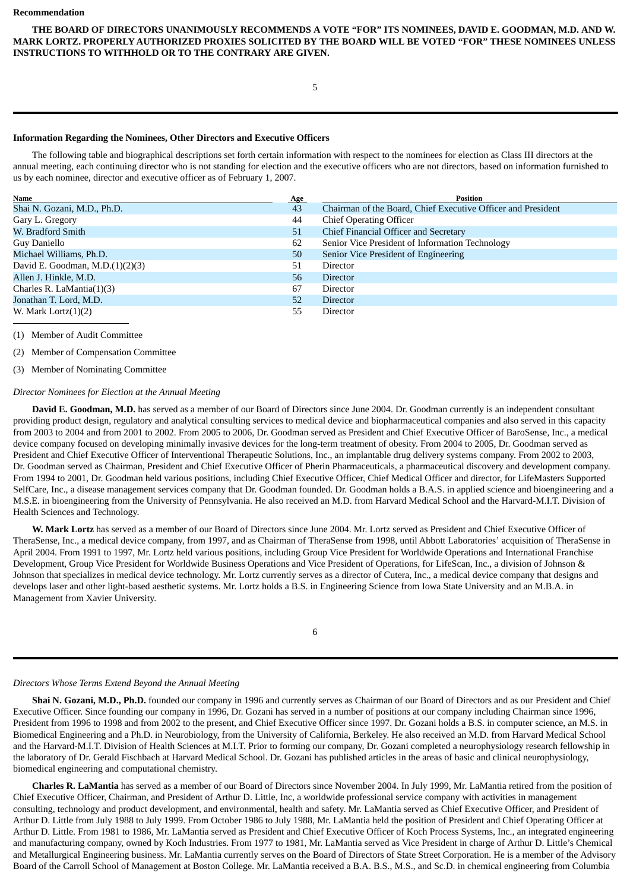**THE BOARD OF DIRECTORS UNANIMOUSLY RECOMMENDS A VOTE "FOR" ITS NOMINEES, DAVID E. GOODMAN, M.D. AND W. MARK LORTZ. PROPERLY AUTHORIZED PROXIES SOLICITED BY THE BOARD WILL BE VOTED "FOR" THESE NOMINEES UNLESS INSTRUCTIONS TO WITHHOLD OR TO THE CONTRARY ARE GIVEN.**

5

# **Information Regarding the Nominees, Other Directors and Executive Officers**

The following table and biographical descriptions set forth certain information with respect to the nominees for election as Class III directors at the annual meeting, each continuing director who is not standing for election and the executive officers who are not directors, based on information furnished to us by each nominee, director and executive officer as of February 1, 2007.

| Name                               | Age | <b>Position</b>                                              |
|------------------------------------|-----|--------------------------------------------------------------|
| Shai N. Gozani, M.D., Ph.D.        | 43  | Chairman of the Board, Chief Executive Officer and President |
| Gary L. Gregory                    | 44  | <b>Chief Operating Officer</b>                               |
| W. Bradford Smith                  | 51  | Chief Financial Officer and Secretary                        |
| Guy Daniello                       | 62  | Senior Vice President of Information Technology              |
| Michael Williams, Ph.D.            | 50  | Senior Vice President of Engineering                         |
| David E. Goodman, M.D. $(1)(2)(3)$ | 51  | Director                                                     |
| Allen J. Hinkle, M.D.              | 56  | <b>Director</b>                                              |
| Charles R. LaMantia(1)(3)          | 67  | Director                                                     |
| Jonathan T. Lord, M.D.             | 52  | <b>Director</b>                                              |
| W. Mark Lortz $(1)(2)$             | 55  | Director                                                     |

(1) Member of Audit Committee

(2) Member of Compensation Committee

(3) Member of Nominating Committee

#### *Director Nominees for Election at the Annual Meeting*

**David E. Goodman, M.D.** has served as a member of our Board of Directors since June 2004. Dr. Goodman currently is an independent consultant providing product design, regulatory and analytical consulting services to medical device and biopharmaceutical companies and also served in this capacity from 2003 to 2004 and from 2001 to 2002. From 2005 to 2006, Dr. Goodman served as President and Chief Executive Officer of BaroSense, Inc., a medical device company focused on developing minimally invasive devices for the long-term treatment of obesity. From 2004 to 2005, Dr. Goodman served as President and Chief Executive Officer of Interventional Therapeutic Solutions, Inc., an implantable drug delivery systems company. From 2002 to 2003, Dr. Goodman served as Chairman, President and Chief Executive Officer of Pherin Pharmaceuticals, a pharmaceutical discovery and development company. From 1994 to 2001, Dr. Goodman held various positions, including Chief Executive Officer, Chief Medical Officer and director, for LifeMasters Supported SelfCare, Inc., a disease management services company that Dr. Goodman founded. Dr. Goodman holds a B.A.S. in applied science and bioengineering and a M.S.E. in bioengineering from the University of Pennsylvania. He also received an M.D. from Harvard Medical School and the Harvard-M.I.T. Division of Health Sciences and Technology.

**W. Mark Lortz** has served as a member of our Board of Directors since June 2004. Mr. Lortz served as President and Chief Executive Officer of TheraSense, Inc., a medical device company, from 1997, and as Chairman of TheraSense from 1998, until Abbott Laboratories' acquisition of TheraSense in April 2004. From 1991 to 1997, Mr. Lortz held various positions, including Group Vice President for Worldwide Operations and International Franchise Development, Group Vice President for Worldwide Business Operations and Vice President of Operations, for LifeScan, Inc., a division of Johnson & Johnson that specializes in medical device technology. Mr. Lortz currently serves as a director of Cutera, Inc., a medical device company that designs and develops laser and other light-based aesthetic systems. Mr. Lortz holds a B.S. in Engineering Science from Iowa State University and an M.B.A. in Management from Xavier University.

| . . |   |        |  |
|-----|---|--------|--|
| ×   | ٧ | I<br>I |  |

# *Directors Whose Terms Extend Beyond the Annual Meeting*

**Shai N. Gozani, M.D., Ph.D.** founded our company in 1996 and currently serves as Chairman of our Board of Directors and as our President and Chief Executive Officer. Since founding our company in 1996, Dr. Gozani has served in a number of positions at our company including Chairman since 1996, President from 1996 to 1998 and from 2002 to the present, and Chief Executive Officer since 1997. Dr. Gozani holds a B.S. in computer science, an M.S. in Biomedical Engineering and a Ph.D. in Neurobiology, from the University of California, Berkeley. He also received an M.D. from Harvard Medical School and the Harvard-M.I.T. Division of Health Sciences at M.I.T. Prior to forming our company, Dr. Gozani completed a neurophysiology research fellowship in the laboratory of Dr. Gerald Fischbach at Harvard Medical School. Dr. Gozani has published articles in the areas of basic and clinical neurophysiology, biomedical engineering and computational chemistry.

**Charles R. LaMantia** has served as a member of our Board of Directors since November 2004. In July 1999, Mr. LaMantia retired from the position of Chief Executive Officer, Chairman, and President of Arthur D. Little, Inc, a worldwide professional service company with activities in management consulting, technology and product development, and environmental, health and safety. Mr. LaMantia served as Chief Executive Officer, and President of Arthur D. Little from July 1988 to July 1999. From October 1986 to July 1988, Mr. LaMantia held the position of President and Chief Operating Officer at Arthur D. Little. From 1981 to 1986, Mr. LaMantia served as President and Chief Executive Officer of Koch Process Systems, Inc., an integrated engineering and manufacturing company, owned by Koch Industries. From 1977 to 1981, Mr. LaMantia served as Vice President in charge of Arthur D. Little's Chemical and Metallurgical Engineering business. Mr. LaMantia currently serves on the Board of Directors of State Street Corporation. He is a member of the Advisory Board of the Carroll School of Management at Boston College. Mr. LaMantia received a B.A. B.S., M.S., and Sc.D. in chemical engineering from Columbia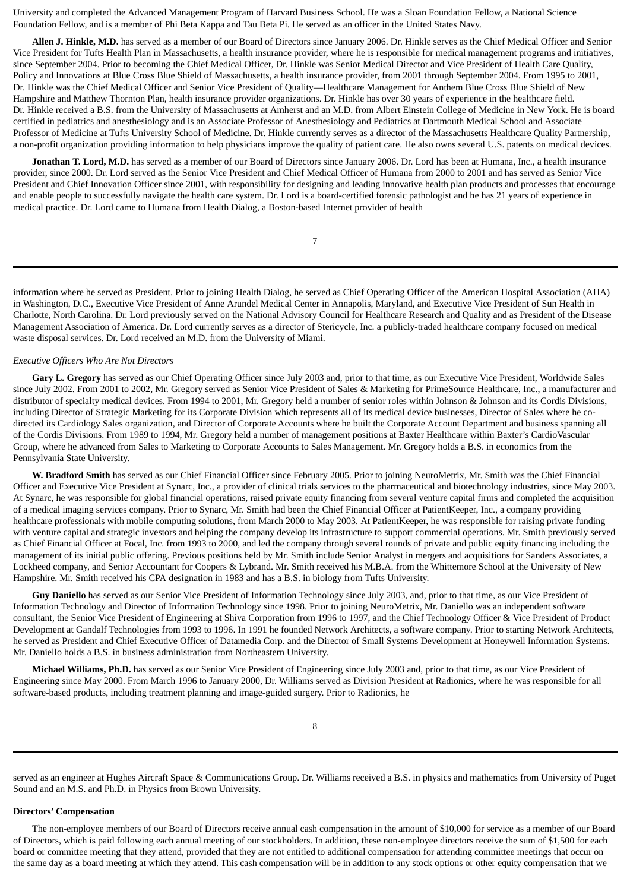University and completed the Advanced Management Program of Harvard Business School. He was a Sloan Foundation Fellow, a National Science Foundation Fellow, and is a member of Phi Beta Kappa and Tau Beta Pi. He served as an officer in the United States Navy.

**Allen J. Hinkle, M.D.** has served as a member of our Board of Directors since January 2006. Dr. Hinkle serves as the Chief Medical Officer and Senior Vice President for Tufts Health Plan in Massachusetts, a health insurance provider, where he is responsible for medical management programs and initiatives, since September 2004. Prior to becoming the Chief Medical Officer, Dr. Hinkle was Senior Medical Director and Vice President of Health Care Quality, Policy and Innovations at Blue Cross Blue Shield of Massachusetts, a health insurance provider, from 2001 through September 2004. From 1995 to 2001, Dr. Hinkle was the Chief Medical Officer and Senior Vice President of Quality—Healthcare Management for Anthem Blue Cross Blue Shield of New Hampshire and Matthew Thornton Plan, health insurance provider organizations. Dr. Hinkle has over 30 years of experience in the healthcare field. Dr. Hinkle received a B.S. from the University of Massachusetts at Amherst and an M.D. from Albert Einstein College of Medicine in New York. He is board certified in pediatrics and anesthesiology and is an Associate Professor of Anesthesiology and Pediatrics at Dartmouth Medical School and Associate Professor of Medicine at Tufts University School of Medicine. Dr. Hinkle currently serves as a director of the Massachusetts Healthcare Quality Partnership, a non-profit organization providing information to help physicians improve the quality of patient care. He also owns several U.S. patents on medical devices.

**Jonathan T. Lord, M.D.** has served as a member of our Board of Directors since January 2006. Dr. Lord has been at Humana, Inc., a health insurance provider, since 2000. Dr. Lord served as the Senior Vice President and Chief Medical Officer of Humana from 2000 to 2001 and has served as Senior Vice President and Chief Innovation Officer since 2001, with responsibility for designing and leading innovative health plan products and processes that encourage and enable people to successfully navigate the health care system. Dr. Lord is a board-certified forensic pathologist and he has 21 years of experience in medical practice. Dr. Lord came to Humana from Health Dialog, a Boston-based Internet provider of health

7

information where he served as President. Prior to joining Health Dialog, he served as Chief Operating Officer of the American Hospital Association (AHA) in Washington, D.C., Executive Vice President of Anne Arundel Medical Center in Annapolis, Maryland, and Executive Vice President of Sun Health in Charlotte, North Carolina. Dr. Lord previously served on the National Advisory Council for Healthcare Research and Quality and as President of the Disease Management Association of America. Dr. Lord currently serves as a director of Stericycle, Inc. a publicly-traded healthcare company focused on medical waste disposal services. Dr. Lord received an M.D. from the University of Miami.

#### *Executive Officers Who Are Not Directors*

**Gary L. Gregory** has served as our Chief Operating Officer since July 2003 and, prior to that time, as our Executive Vice President, Worldwide Sales since July 2002. From 2001 to 2002, Mr. Gregory served as Senior Vice President of Sales & Marketing for PrimeSource Healthcare, Inc., a manufacturer and distributor of specialty medical devices. From 1994 to 2001, Mr. Gregory held a number of senior roles within Johnson & Johnson and its Cordis Divisions, including Director of Strategic Marketing for its Corporate Division which represents all of its medical device businesses, Director of Sales where he codirected its Cardiology Sales organization, and Director of Corporate Accounts where he built the Corporate Account Department and business spanning all of the Cordis Divisions. From 1989 to 1994, Mr. Gregory held a number of management positions at Baxter Healthcare within Baxter's CardioVascular Group, where he advanced from Sales to Marketing to Corporate Accounts to Sales Management. Mr. Gregory holds a B.S. in economics from the Pennsylvania State University.

**W. Bradford Smith** has served as our Chief Financial Officer since February 2005. Prior to joining NeuroMetrix, Mr. Smith was the Chief Financial Officer and Executive Vice President at Synarc, Inc., a provider of clinical trials services to the pharmaceutical and biotechnology industries, since May 2003. At Synarc, he was responsible for global financial operations, raised private equity financing from several venture capital firms and completed the acquisition of a medical imaging services company. Prior to Synarc, Mr. Smith had been the Chief Financial Officer at PatientKeeper, Inc., a company providing healthcare professionals with mobile computing solutions, from March 2000 to May 2003. At PatientKeeper, he was responsible for raising private funding with venture capital and strategic investors and helping the company develop its infrastructure to support commercial operations. Mr. Smith previously served as Chief Financial Officer at Focal, Inc. from 1993 to 2000, and led the company through several rounds of private and public equity financing including the management of its initial public offering. Previous positions held by Mr. Smith include Senior Analyst in mergers and acquisitions for Sanders Associates, a Lockheed company, and Senior Accountant for Coopers & Lybrand. Mr. Smith received his M.B.A. from the Whittemore School at the University of New Hampshire. Mr. Smith received his CPA designation in 1983 and has a B.S. in biology from Tufts University.

**Guy Daniello** has served as our Senior Vice President of Information Technology since July 2003, and, prior to that time, as our Vice President of Information Technology and Director of Information Technology since 1998. Prior to joining NeuroMetrix, Mr. Daniello was an independent software consultant, the Senior Vice President of Engineering at Shiva Corporation from 1996 to 1997, and the Chief Technology Officer & Vice President of Product Development at Gandalf Technologies from 1993 to 1996. In 1991 he founded Network Architects, a software company. Prior to starting Network Architects, he served as President and Chief Executive Officer of Datamedia Corp. and the Director of Small Systems Development at Honeywell Information Systems. Mr. Daniello holds a B.S. in business administration from Northeastern University.

**Michael Williams, Ph.D.** has served as our Senior Vice President of Engineering since July 2003 and, prior to that time, as our Vice President of Engineering since May 2000. From March 1996 to January 2000, Dr. Williams served as Division President at Radionics, where he was responsible for all software-based products, including treatment planning and image-guided surgery. Prior to Radionics, he

served as an engineer at Hughes Aircraft Space & Communications Group. Dr. Williams received a B.S. in physics and mathematics from University of Puget Sound and an M.S. and Ph.D. in Physics from Brown University.

#### **Directors' Compensation**

The non-employee members of our Board of Directors receive annual cash compensation in the amount of \$10,000 for service as a member of our Board of Directors, which is paid following each annual meeting of our stockholders. In addition, these non-employee directors receive the sum of \$1,500 for each board or committee meeting that they attend, provided that they are not entitled to additional compensation for attending committee meetings that occur on the same day as a board meeting at which they attend. This cash compensation will be in addition to any stock options or other equity compensation that we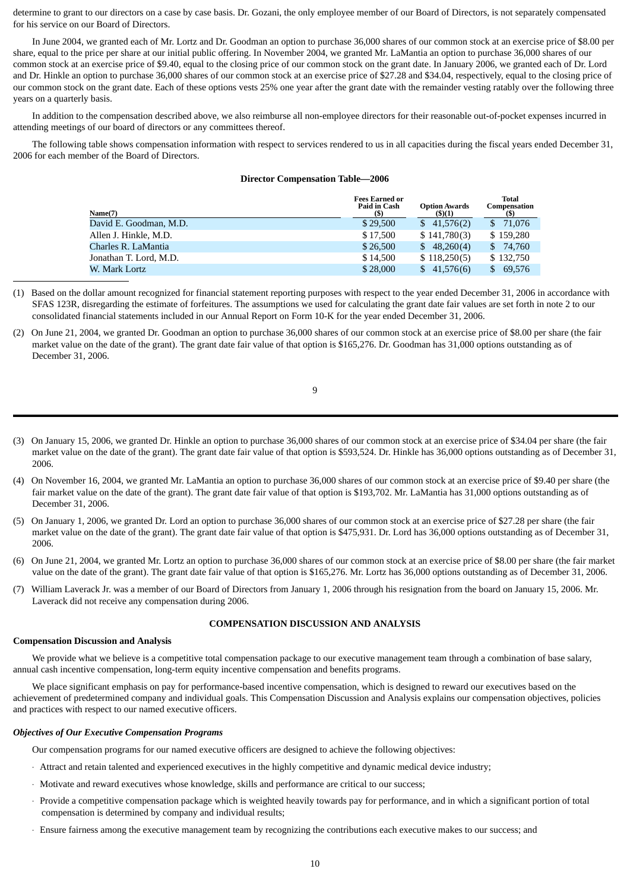determine to grant to our directors on a case by case basis. Dr. Gozani, the only employee member of our Board of Directors, is not separately compensated for his service on our Board of Directors.

In June 2004, we granted each of Mr. Lortz and Dr. Goodman an option to purchase 36,000 shares of our common stock at an exercise price of \$8.00 per share, equal to the price per share at our initial public offering. In November 2004, we granted Mr. LaMantia an option to purchase 36,000 shares of our common stock at an exercise price of \$9.40, equal to the closing price of our common stock on the grant date. In January 2006, we granted each of Dr. Lord and Dr. Hinkle an option to purchase 36,000 shares of our common stock at an exercise price of \$27.28 and \$34.04, respectively, equal to the closing price of our common stock on the grant date. Each of these options vests 25% one year after the grant date with the remainder vesting ratably over the following three years on a quarterly basis.

In addition to the compensation described above, we also reimburse all non-employee directors for their reasonable out-of-pocket expenses incurred in attending meetings of our board of directors or any committees thereof.

The following table shows compensation information with respect to services rendered to us in all capacities during the fiscal years ended December 31, 2006 for each member of the Board of Directors.

# **Director Compensation Table—2006**

| Name(7)                | <b>Fees Earned or</b><br><b>Paid in Cash</b><br>(S) | <b>Option Awards</b><br>(5)(1) | Total<br>Compensation<br>(S) |
|------------------------|-----------------------------------------------------|--------------------------------|------------------------------|
| David E. Goodman, M.D. | \$29,500                                            | \$41,576(2)                    | 71.076<br>SS.                |
| Allen J. Hinkle, M.D.  | \$17,500                                            | \$141,780(3)                   | \$159,280                    |
| Charles R. LaMantia    | \$26,500                                            | \$48,260(4)                    | 74.760<br>S.                 |
| Jonathan T. Lord, M.D. | \$14,500                                            | \$118,250(5)                   | \$132,750                    |
| W. Mark Lortz          | \$28,000                                            | 41,576(6)                      | 69,576<br>\$.                |

(1)Based on the dollar amount recognized for financial statement reporting purposes with respect to the year ended December 31, 2006 in accordance with SFAS 123R, disregarding the estimate of forfeitures. The assumptions we used for calculating the grant date fair values are set forth in note 2 to our consolidated financial statements included in our Annual Report on Form 10-K for the year ended December 31, 2006.

(2)On June 21, 2004, we granted Dr. Goodman an option to purchase 36,000 shares of our common stock at an exercise price of \$8.00 per share (the fair market value on the date of the grant). The grant date fair value of that option is \$165,276. Dr. Goodman has 31,000 options outstanding as of December 31, 2006.

|   | I |    |  |
|---|---|----|--|
|   |   |    |  |
| ć |   |    |  |
|   |   | ۰. |  |

- (3)On January 15, 2006, we granted Dr. Hinkle an option to purchase 36,000 shares of our common stock at an exercise price of \$34.04 per share (the fair market value on the date of the grant). The grant date fair value of that option is \$593,524. Dr. Hinkle has 36,000 options outstanding as of December 31, 2006.
- (4)On November 16, 2004, we granted Mr. LaMantia an option to purchase 36,000 shares of our common stock at an exercise price of \$9.40 per share (the fair market value on the date of the grant). The grant date fair value of that option is \$193,702. Mr. LaMantia has 31,000 options outstanding as of December 31, 2006.
- (5)On January 1, 2006, we granted Dr. Lord an option to purchase 36,000 shares of our common stock at an exercise price of \$27.28 per share (the fair market value on the date of the grant). The grant date fair value of that option is \$475,931. Dr. Lord has 36,000 options outstanding as of December 31, 2006.
- (6)On June 21, 2004, we granted Mr. Lortz an option to purchase 36,000 shares of our common stock at an exercise price of \$8.00 per share (the fair market value on the date of the grant). The grant date fair value of that option is \$165,276. Mr. Lortz has 36,000 options outstanding as of December 31, 2006.
- (7)William Laverack Jr. was a member of our Board of Directors from January 1, 2006 through his resignation from the board on January 15, 2006. Mr. Laverack did not receive any compensation during 2006.

# **COMPENSATION DISCUSSION AND ANALYSIS**

# **Compensation Discussion and Analysis**

We provide what we believe is a competitive total compensation package to our executive management team through a combination of base salary, annual cash incentive compensation, long-term equity incentive compensation and benefits programs.

We place significant emphasis on pay for performance-based incentive compensation, which is designed to reward our executives based on the achievement of predetermined company and individual goals. This Compensation Discussion and Analysis explains our compensation objectives, policies and practices with respect to our named executive officers.

# *Objectives of Our Executive Compensation Programs*

Our compensation programs for our named executive officers are designed to achieve the following objectives:

- · Attract and retain talented and experienced executives in the highly competitive and dynamic medical device industry;
- · Motivate and reward executives whose knowledge, skills and performance are critical to our success;
- · Provide a competitive compensation package which is weighted heavily towards pay for performance, and in which a significant portion of total compensation is determined by company and individual results;
- · Ensure fairness among the executive management team by recognizing the contributions each executive makes to our success; and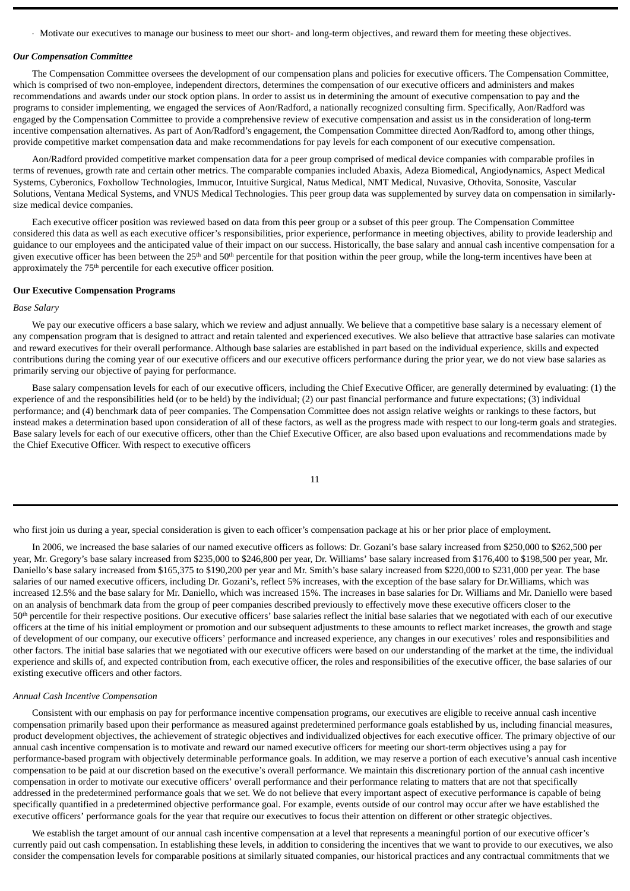· Motivate our executives to manage our business to meet our short- and long-term objectives, and reward them for meeting these objectives.

#### *Our Compensation Committee*

The Compensation Committee oversees the development of our compensation plans and policies for executive officers. The Compensation Committee, which is comprised of two non-employee, independent directors, determines the compensation of our executive officers and administers and makes recommendations and awards under our stock option plans. In order to assist us in determining the amount of executive compensation to pay and the programs to consider implementing, we engaged the services of Aon/Radford, a nationally recognized consulting firm. Specifically, Aon/Radford was engaged by the Compensation Committee to provide a comprehensive review of executive compensation and assist us in the consideration of long-term incentive compensation alternatives. As part of Aon/Radford's engagement, the Compensation Committee directed Aon/Radford to, among other things, provide competitive market compensation data and make recommendations for pay levels for each component of our executive compensation.

Aon/Radford provided competitive market compensation data for a peer group comprised of medical device companies with comparable profiles in terms of revenues, growth rate and certain other metrics. The comparable companies included Abaxis, Adeza Biomedical, Angiodynamics, Aspect Medical Systems, Cyberonics, Foxhollow Technologies, Immucor, Intuitive Surgical, Natus Medical, NMT Medical, Nuvasive, Othovita, Sonosite, Vascular Solutions, Ventana Medical Systems, and VNUS Medical Technologies. This peer group data was supplemented by survey data on compensation in similarlysize medical device companies.

Each executive officer position was reviewed based on data from this peer group or a subset of this peer group. The Compensation Committee considered this data as well as each executive officer's responsibilities, prior experience, performance in meeting objectives, ability to provide leadership and guidance to our employees and the anticipated value of their impact on our success. Historically, the base salary and annual cash incentive compensation for a given executive officer has been between the  $25<sup>th</sup>$  and  $50<sup>th</sup>$  percentile for that position within the peer group, while the long-term incentives have been at approximately the 75<sup>th</sup> percentile for each executive officer position.

#### **Our Executive Compensation Programs**

#### *Base Salary*

We pay our executive officers a base salary, which we review and adjust annually. We believe that a competitive base salary is a necessary element of any compensation program that is designed to attract and retain talented and experienced executives. We also believe that attractive base salaries can motivate and reward executives for their overall performance. Although base salaries are established in part based on the individual experience, skills and expected contributions during the coming year of our executive officers and our executive officers performance during the prior year, we do not view base salaries as primarily serving our objective of paying for performance.

Base salary compensation levels for each of our executive officers, including the Chief Executive Officer, are generally determined by evaluating: (1) the experience of and the responsibilities held (or to be held) by the individual; (2) our past financial performance and future expectations; (3) individual performance; and (4) benchmark data of peer companies. The Compensation Committee does not assign relative weights or rankings to these factors, but instead makes a determination based upon consideration of all of these factors, as well as the progress made with respect to our long-term goals and strategies. Base salary levels for each of our executive officers, other than the Chief Executive Officer, are also based upon evaluations and recommendations made by the Chief Executive Officer. With respect to executive officers

| ۰ | ٠ |  |
|---|---|--|

who first join us during a year, special consideration is given to each officer's compensation package at his or her prior place of employment.

In 2006, we increased the base salaries of our named executive officers as follows: Dr. Gozani's base salary increased from \$250,000 to \$262,500 per year, Mr. Gregory's base salary increased from \$235,000 to \$246,800 per year, Dr. Williams' base salary increased from \$176,400 to \$198,500 per year, Mr. Daniello's base salary increased from \$165,375 to \$190,200 per year and Mr. Smith's base salary increased from \$220,000 to \$231,000 per year. The base salaries of our named executive officers, including Dr. Gozani's, reflect 5% increases, with the exception of the base salary for Dr.Williams, which was increased 12.5% and the base salary for Mr. Daniello, which was increased 15%. The increases in base salaries for Dr. Williams and Mr. Daniello were based on an analysis of benchmark data from the group of peer companies described previously to effectively move these executive officers closer to the 50<sup>th</sup> percentile for their respective positions. Our executive officers' base salaries reflect the initial base salaries that we negotiated with each of our executive officers at the time of his initial employment or promotion and our subsequent adjustments to these amounts to reflect market increases, the growth and stage of development of our company, our executive officers' performance and increased experience, any changes in our executives' roles and responsibilities and other factors. The initial base salaries that we negotiated with our executive officers were based on our understanding of the market at the time, the individual experience and skills of, and expected contribution from, each executive officer, the roles and responsibilities of the executive officer, the base salaries of our existing executive officers and other factors.

# *Annual Cash Incentive Compensation*

Consistent with our emphasis on pay for performance incentive compensation programs, our executives are eligible to receive annual cash incentive compensation primarily based upon their performance as measured against predetermined performance goals established by us, including financial measures, product development objectives, the achievement of strategic objectives and individualized objectives for each executive officer. The primary objective of our annual cash incentive compensation is to motivate and reward our named executive officers for meeting our short-term objectives using a pay for performance-based program with objectively determinable performance goals. In addition, we may reserve a portion of each executive's annual cash incentive compensation to be paid at our discretion based on the executive's overall performance. We maintain this discretionary portion of the annual cash incentive compensation in order to motivate our executive officers' overall performance and their performance relating to matters that are not that specifically addressed in the predetermined performance goals that we set. We do not believe that every important aspect of executive performance is capable of being specifically quantified in a predetermined objective performance goal. For example, events outside of our control may occur after we have established the executive officers' performance goals for the year that require our executives to focus their attention on different or other strategic objectives.

We establish the target amount of our annual cash incentive compensation at a level that represents a meaningful portion of our executive officer's currently paid out cash compensation. In establishing these levels, in addition to considering the incentives that we want to provide to our executives, we also consider the compensation levels for comparable positions at similarly situated companies, our historical practices and any contractual commitments that we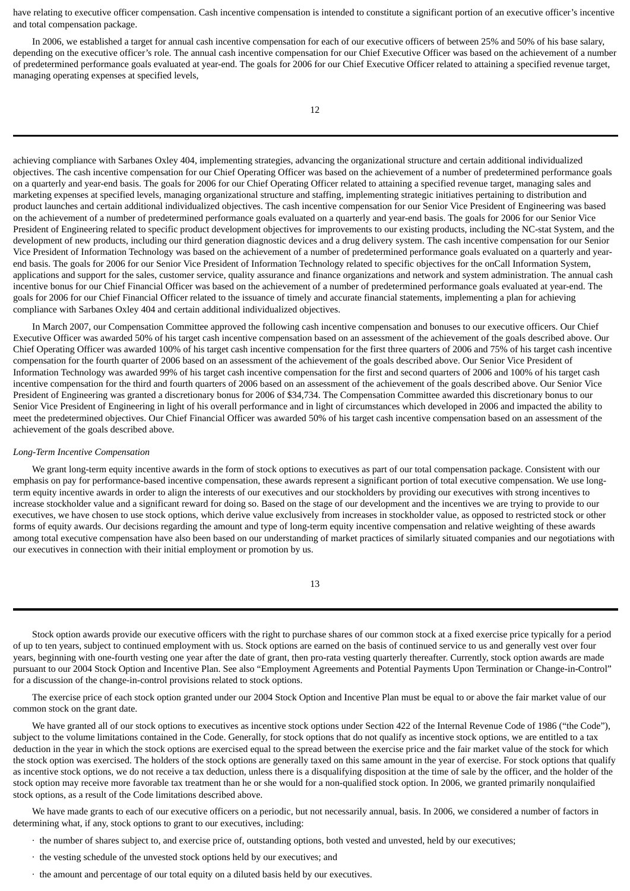have relating to executive officer compensation. Cash incentive compensation is intended to constitute a significant portion of an executive officer's incentive and total compensation package.

In 2006, we established a target for annual cash incentive compensation for each of our executive officers of between 25% and 50% of his base salary, depending on the executive officer's role. The annual cash incentive compensation for our Chief Executive Officer was based on the achievement of a number of predetermined performance goals evaluated at year-end. The goals for 2006 for our Chief Executive Officer related to attaining a specified revenue target, managing operating expenses at specified levels,

achieving compliance with Sarbanes Oxley 404, implementing strategies, advancing the organizational structure and certain additional individualized objectives. The cash incentive compensation for our Chief Operating Officer was based on the achievement of a number of predetermined performance goals on a quarterly and year-end basis. The goals for 2006 for our Chief Operating Officer related to attaining a specified revenue target, managing sales and marketing expenses at specified levels, managing organizational structure and staffing, implementing strategic initiatives pertaining to distribution and product launches and certain additional individualized objectives. The cash incentive compensation for our Senior Vice President of Engineering was based on the achievement of a number of predetermined performance goals evaluated on a quarterly and year-end basis. The goals for 2006 for our Senior Vice President of Engineering related to specific product development objectives for improvements to our existing products, including the NC-stat System, and the development of new products, including our third generation diagnostic devices and a drug delivery system. The cash incentive compensation for our Senior Vice President of Information Technology was based on the achievement of a number of predetermined performance goals evaluated on a quarterly and yearend basis. The goals for 2006 for our Senior Vice President of Information Technology related to specific objectives for the onCall Information System, applications and support for the sales, customer service, quality assurance and finance organizations and network and system administration. The annual cash incentive bonus for our Chief Financial Officer was based on the achievement of a number of predetermined performance goals evaluated at year-end. The goals for 2006 for our Chief Financial Officer related to the issuance of timely and accurate financial statements, implementing a plan for achieving compliance with Sarbanes Oxley 404 and certain additional individualized objectives.

In March 2007, our Compensation Committee approved the following cash incentive compensation and bonuses to our executive officers. Our Chief Executive Officer was awarded 50% of his target cash incentive compensation based on an assessment of the achievement of the goals described above. Our Chief Operating Officer was awarded 100% of his target cash incentive compensation for the first three quarters of 2006 and 75% of his target cash incentive compensation for the fourth quarter of 2006 based on an assessment of the achievement of the goals described above. Our Senior Vice President of Information Technology was awarded 99% of his target cash incentive compensation for the first and second quarters of 2006 and 100% of his target cash incentive compensation for the third and fourth quarters of 2006 based on an assessment of the achievement of the goals described above. Our Senior Vice President of Engineering was granted a discretionary bonus for 2006 of \$34,734. The Compensation Committee awarded this discretionary bonus to our Senior Vice President of Engineering in light of his overall performance and in light of circumstances which developed in 2006 and impacted the ability to meet the predetermined objectives. Our Chief Financial Officer was awarded 50% of his target cash incentive compensation based on an assessment of the achievement of the goals described above.

#### *Long-Term Incentive Compensation*

We grant long-term equity incentive awards in the form of stock options to executives as part of our total compensation package. Consistent with our emphasis on pay for performance-based incentive compensation, these awards represent a significant portion of total executive compensation. We use longterm equity incentive awards in order to align the interests of our executives and our stockholders by providing our executives with strong incentives to increase stockholder value and a significant reward for doing so. Based on the stage of our development and the incentives we are trying to provide to our executives, we have chosen to use stock options, which derive value exclusively from increases in stockholder value, as opposed to restricted stock or other forms of equity awards. Our decisions regarding the amount and type of long-term equity incentive compensation and relative weighting of these awards among total executive compensation have also been based on our understanding of market practices of similarly situated companies and our negotiations with our executives in connection with their initial employment or promotion by us.

| ۰.<br>×<br>v |
|--------------|

Stock option awards provide our executive officers with the right to purchase shares of our common stock at a fixed exercise price typically for a period of up to ten years, subject to continued employment with us. Stock options are earned on the basis of continued service to us and generally vest over four years, beginning with one-fourth vesting one year after the date of grant, then pro-rata vesting quarterly thereafter. Currently, stock option awards are made pursuant to our 2004 Stock Option and Incentive Plan. See also "Employment Agreements and Potential Payments Upon Termination or Change-in-Control" for a discussion of the change-in-control provisions related to stock options.

The exercise price of each stock option granted under our 2004 Stock Option and Incentive Plan must be equal to or above the fair market value of our common stock on the grant date.

We have granted all of our stock options to executives as incentive stock options under Section 422 of the Internal Revenue Code of 1986 ("the Code"), subject to the volume limitations contained in the Code. Generally, for stock options that do not qualify as incentive stock options, we are entitled to a tax deduction in the year in which the stock options are exercised equal to the spread between the exercise price and the fair market value of the stock for which the stock option was exercised. The holders of the stock options are generally taxed on this same amount in the year of exercise. For stock options that qualify as incentive stock options, we do not receive a tax deduction, unless there is a disqualifying disposition at the time of sale by the officer, and the holder of the stock option may receive more favorable tax treatment than he or she would for a non-qualified stock option. In 2006, we granted primarily nonqulaified stock options, as a result of the Code limitations described above.

We have made grants to each of our executive officers on a periodic, but not necessarily annual, basis. In 2006, we considered a number of factors in determining what, if any, stock options to grant to our executives, including:

- · the number of shares subject to, and exercise price of, outstanding options, both vested and unvested, held by our executives;
- · the vesting schedule of the unvested stock options held by our executives; and
- · the amount and percentage of our total equity on a diluted basis held by our executives.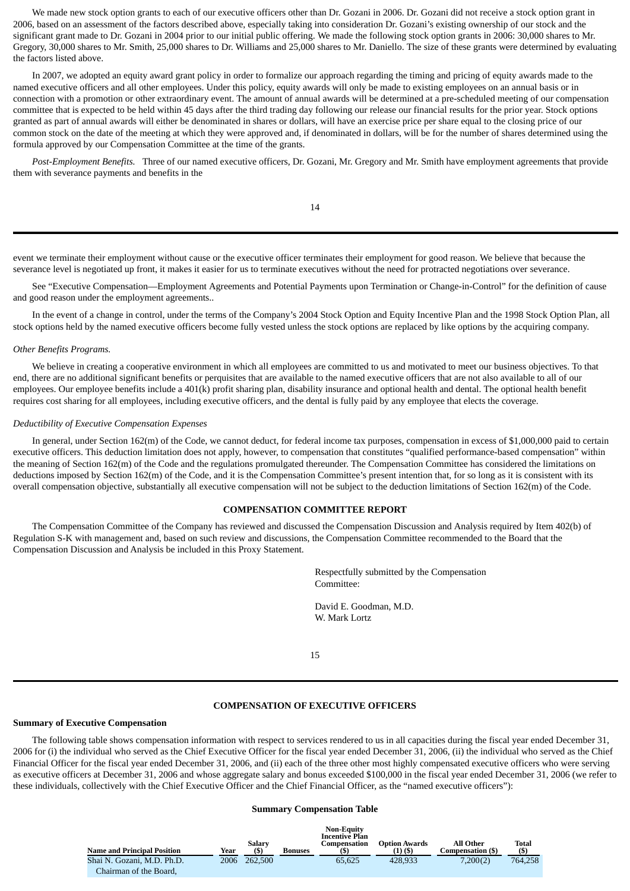We made new stock option grants to each of our executive officers other than Dr. Gozani in 2006. Dr. Gozani did not receive a stock option grant in 2006, based on an assessment of the factors described above, especially taking into consideration Dr. Gozani's existing ownership of our stock and the significant grant made to Dr. Gozani in 2004 prior to our initial public offering. We made the following stock option grants in 2006: 30,000 shares to Mr. Gregory, 30,000 shares to Mr. Smith, 25,000 shares to Dr. Williams and 25,000 shares to Mr. Daniello. The size of these grants were determined by evaluating the factors listed above.

In 2007, we adopted an equity award grant policy in order to formalize our approach regarding the timing and pricing of equity awards made to the named executive officers and all other employees. Under this policy, equity awards will only be made to existing employees on an annual basis or in connection with a promotion or other extraordinary event. The amount of annual awards will be determined at a pre-scheduled meeting of our compensation committee that is expected to be held within 45 days after the third trading day following our release our financial results for the prior year. Stock options granted as part of annual awards will either be denominated in shares or dollars, will have an exercise price per share equal to the closing price of our common stock on the date of the meeting at which they were approved and, if denominated in dollars, will be for the number of shares determined using the formula approved by our Compensation Committee at the time of the grants.

*Post-Employment Benefits.* Three of our named executive officers, Dr. Gozani, Mr. Gregory and Mr. Smith have employment agreements that provide them with severance payments and benefits in the

14

event we terminate their employment without cause or the executive officer terminates their employment for good reason. We believe that because the severance level is negotiated up front, it makes it easier for us to terminate executives without the need for protracted negotiations over severance.

See "Executive Compensation—Employment Agreements and Potential Payments upon Termination or Change-in-Control" for the definition of cause and good reason under the employment agreements..

In the event of a change in control, under the terms of the Company's 2004 Stock Option and Equity Incentive Plan and the 1998 Stock Option Plan, all stock options held by the named executive officers become fully vested unless the stock options are replaced by like options by the acquiring company.

# *Other Benefits Programs.*

We believe in creating a cooperative environment in which all employees are committed to us and motivated to meet our business objectives. To that end, there are no additional significant benefits or perquisites that are available to the named executive officers that are not also available to all of our employees. Our employee benefits include a 401(k) profit sharing plan, disability insurance and optional health and dental. The optional health benefit requires cost sharing for all employees, including executive officers, and the dental is fully paid by any employee that elects the coverage.

# *Deductibility of Executive Compensation Expenses*

In general, under Section 162(m) of the Code, we cannot deduct, for federal income tax purposes, compensation in excess of \$1,000,000 paid to certain executive officers. This deduction limitation does not apply, however, to compensation that constitutes "qualified performance-based compensation" within the meaning of Section 162(m) of the Code and the regulations promulgated thereunder. The Compensation Committee has considered the limitations on deductions imposed by Section 162(m) of the Code, and it is the Compensation Committee's present intention that, for so long as it is consistent with its overall compensation objective, substantially all executive compensation will not be subject to the deduction limitations of Section 162(m) of the Code.

# **COMPENSATION COMMITTEE REPORT**

The Compensation Committee of the Company has reviewed and discussed the Compensation Discussion and Analysis required by Item 402(b) of Regulation S-K with management and, based on such review and discussions, the Compensation Committee recommended to the Board that the Compensation Discussion and Analysis be included in this Proxy Statement.

> Respectfully submitted by the Compensation Committee:

David E. Goodman, M.D. W. Mark Lortz

15

# **COMPENSATION OF EXECUTIVE OFFICERS**

#### **Summary of Executive Compensation**

The following table shows compensation information with respect to services rendered to us in all capacities during the fiscal year ended December 31, 2006 for (i) the individual who served as the Chief Executive Officer for the fiscal year ended December 31, 2006, (ii) the individual who served as the Chief Financial Officer for the fiscal year ended December 31, 2006, and (ii) each of the three other most highly compensated executive officers who were serving as executive officers at December 31, 2006 and whose aggregate salary and bonus exceeded \$100,000 in the fiscal year ended December 31, 2006 (we refer to these individuals, collectively with the Chief Executive Officer and the Chief Financial Officer, as the "named executive officers"):

#### **Summary Compensation Table**

| <b>Name and Principal Position</b><br>Shai N. Gozani, M.D. Ph.D. | Year<br>2006 | Salary<br>(5)<br>262,500 | <b>Bonuses</b> | <b>Non-Equity</b><br><b>Incentive Plan</b><br>Compensation<br>65.625 | <b>Option Awards</b><br>(1) (\$)<br>428.933 | All Other<br>Compensation (\$)<br>7.200(2) | Total<br>(S)<br>764.258 |
|------------------------------------------------------------------|--------------|--------------------------|----------------|----------------------------------------------------------------------|---------------------------------------------|--------------------------------------------|-------------------------|
| Chairman of the Board,                                           |              |                          |                |                                                                      |                                             |                                            |                         |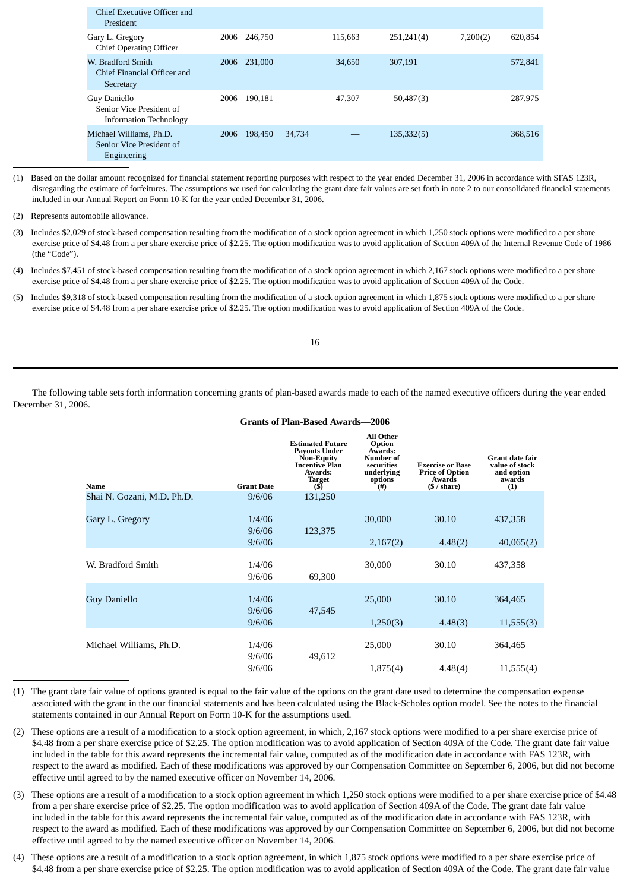| 2006 | 246,750 |        | 115,663 | 251,241(4) | 7,200(2) | 620,854 |
|------|---------|--------|---------|------------|----------|---------|
| 2006 | 231,000 |        | 34,650  | 307,191    |          | 572,841 |
| 2006 | 190.181 |        | 47,307  | 50,487(3)  |          | 287,975 |
| 2006 | 198,450 | 34,734 |         | 135,332(5) |          | 368,516 |
|      |         |        |         |            |          |         |

(1)Based on the dollar amount recognized for financial statement reporting purposes with respect to the year ended December 31, 2006 in accordance with SFAS 123R, disregarding the estimate of forfeitures. The assumptions we used for calculating the grant date fair values are set forth in note 2 to our consolidated financial statements included in our Annual Report on Form 10-K for the year ended December 31, 2006.

- (3) Includes \$2,029 of stock-based compensation resulting from the modification of a stock option agreement in which 1,250 stock options were modified to a per share exercise price of \$4.48 from a per share exercise price of \$2.25. The option modification was to avoid application of Section 409A of the Internal Revenue Code of 1986 (the "Code").
- (4) Includes \$7,451 of stock-based compensation resulting from the modification of a stock option agreement in which 2,167 stock options were modified to a per share exercise price of \$4.48 from a per share exercise price of \$2.25. The option modification was to avoid application of Section 409A of the Code.
- (5) Includes \$9,318 of stock-based compensation resulting from the modification of a stock option agreement in which 1,875 stock options were modified to a per share exercise price of \$4.48 from a per share exercise price of \$2.25. The option modification was to avoid application of Section 409A of the Code.

16

The following table sets forth information concerning grants of plan-based awards made to each of the named executive officers during the year ended December 31, 2006.

| Name                       | <b>Grant Date</b> | <b>Estimated Future</b><br><b>Payouts Under</b><br>Non-Equity<br><b>Incentive Plan</b><br>Awards:<br><b>Target</b><br>(\$) | All Other<br>Option<br>Awards:<br><b>Number of</b><br>securities<br>underlying<br>options<br>$($ #) | <b>Exercise or Base</b><br><b>Price of Option</b><br>Awards<br>$(\$ / share)$ | <b>Grant date fair</b><br>value of stock<br>and option<br>awards<br>(1) |
|----------------------------|-------------------|----------------------------------------------------------------------------------------------------------------------------|-----------------------------------------------------------------------------------------------------|-------------------------------------------------------------------------------|-------------------------------------------------------------------------|
| Shai N. Gozani, M.D. Ph.D. | 9/6/06            | 131,250                                                                                                                    |                                                                                                     |                                                                               |                                                                         |
| Gary L. Gregory            | 1/4/06<br>9/6/06  | 123,375                                                                                                                    | 30,000                                                                                              | 30.10                                                                         | 437,358                                                                 |
|                            | 9/6/06            |                                                                                                                            | 2,167(2)                                                                                            | 4.48(2)                                                                       | 40,065(2)                                                               |
| W. Bradford Smith          | 1/4/06<br>9/6/06  | 69,300                                                                                                                     | 30,000                                                                                              | 30.10                                                                         | 437,358                                                                 |
| <b>Guy Daniello</b>        | 1/4/06<br>9/6/06  | 47,545                                                                                                                     | 25,000                                                                                              | 30.10                                                                         | 364,465                                                                 |
|                            | 9/6/06            |                                                                                                                            | 1,250(3)                                                                                            | 4.48(3)                                                                       | 11,555(3)                                                               |
| Michael Williams, Ph.D.    | 1/4/06<br>9/6/06  | 49,612                                                                                                                     | 25,000                                                                                              | 30.10                                                                         | 364,465                                                                 |
|                            | 9/6/06            |                                                                                                                            | 1,875(4)                                                                                            | 4.48(4)                                                                       | 11,555(4)                                                               |

# **Grants of Plan-Based Awards—2006**

- (1) The grant date fair value of options granted is equal to the fair value of the options on the grant date used to determine the compensation expense associated with the grant in the our financial statements and has been calculated using the Black-Scholes option model. See the notes to the financial statements contained in our Annual Report on Form 10-K for the assumptions used.
- (2) These options are a result of a modification to a stock option agreement, in which, 2,167 stock options were modified to a per share exercise price of \$4.48 from a per share exercise price of \$2.25. The option modification was to avoid application of Section 409A of the Code. The grant date fair value included in the table for this award represents the incremental fair value, computed as of the modification date in accordance with FAS 123R, with respect to the award as modified. Each of these modifications was approved by our Compensation Committee on September 6, 2006, but did not become effective until agreed to by the named executive officer on November 14, 2006.
- (3) These options are a result of a modification to a stock option agreement in which 1,250 stock options were modified to a per share exercise price of \$4.48 from a per share exercise price of \$2.25. The option modification was to avoid application of Section 409A of the Code. The grant date fair value included in the table for this award represents the incremental fair value, computed as of the modification date in accordance with FAS 123R, with respect to the award as modified. Each of these modifications was approved by our Compensation Committee on September 6, 2006, but did not become effective until agreed to by the named executive officer on November 14, 2006.
- (4) These options are a result of a modification to a stock option agreement, in which 1,875 stock options were modified to a per share exercise price of \$4.48 from a per share exercise price of \$2.25. The option modification was to avoid application of Section 409A of the Code. The grant date fair value

<sup>(2)</sup> Represents automobile allowance.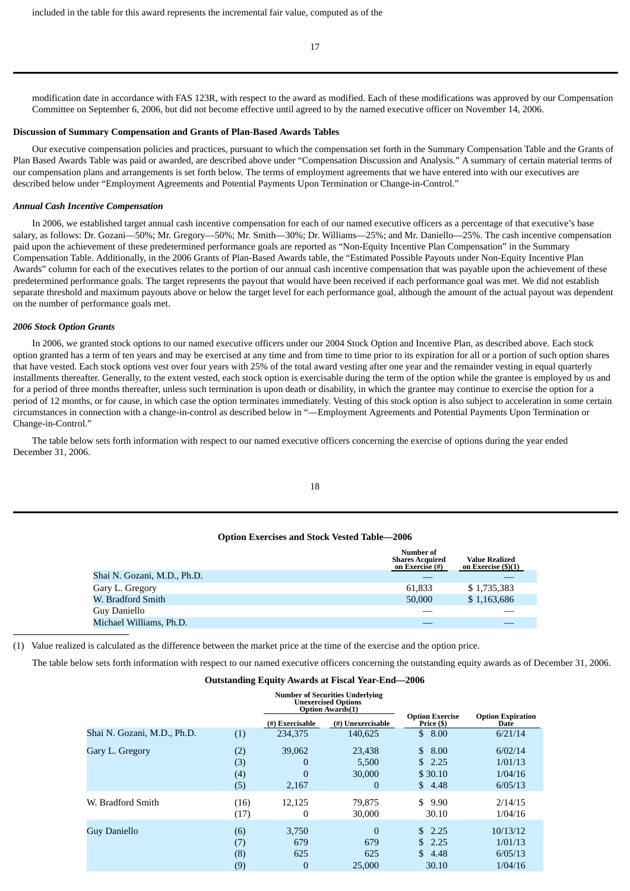17

modification date in accordance with FAS 123R, with respect to the award as modified. Each of these modifications was approved by our Compensation Committee on September 6, 2006, but did not become effective until agreed to by the named executive officer on November 14, 2006.

#### **Discussion of Summary Compensation and Grants of Plan-Based Awards Tables**

Our executive compensation policies and practices, pursuant to which the compensation set forth in the Summary Compensation Table and the Grants of Plan Based Awards Table was paid or awarded, are described above under "Compensation Discussion and Analysis." A summary of certain material terms of our compensation plans and arrangements is set forth below. The terms of employment agreements that we have entered into with our executives are described below under "Employment Agreements and Potential Payments Upon Termination or Change-in-Control."

#### *Annual Cash Incentive Compensation*

In 2006, we established target annual cash incentive compensation for each of our named executive officers as a percentage of that executive's base salary, as follows: Dr. Gozani—50%; Mr. Gregory—50%; Mr. Smith—30%; Dr. Williams—25%; and Mr. Daniello—25%. The cash incentive compensation paid upon the achievement of these predetermined performance goals are reported as "Non-Equity Incentive Plan Compensation" in the Summary Compensation Table. Additionally, in the 2006 Grants of Plan-Based Awards table, the "Estimated Possible Payouts under Non-Equity Incentive Plan Awards" column for each of the executives relates to the portion of our annual cash incentive compensation that was payable upon the achievement of these predetermined performance goals. The target represents the payout that would have been received if each performance goal was met. We did not establish separate threshold and maximum payouts above or below the target level for each performance goal, although the amount of the actual payout was dependent on the number of performance goals met.

#### *2006 Stock Option Grants*

In 2006, we granted stock options to our named executive officers under our 2004 Stock Option and Incentive Plan, as described above. Each stock option granted has a term of ten years and may be exercised at any time and from time to time prior to its expiration for all or a portion of such option shares that have vested. Each stock options vest over four years with 25% of the total award vesting after one year and the remainder vesting in equal quarterly installments thereafter. Generally, to the extent vested, each stock option is exercisable during the term of the option while the grantee is employed by us and for a period of three months thereafter, unless such termination is upon death or disability, in which the grantee may continue to exercise the option for a period of 12 months, or for cause, in which case the option terminates immediately. Vesting of this stock option is also subject to acceleration in some certain circumstances in connection with a change-in-control as described below in "—Employment Agreements and Potential Payments Upon Termination or Change-in-Control."

The table below sets forth information with respect to our named executive officers concerning the exercise of options during the year ended December 31, 2006.

| ٦            |
|--------------|
| I<br>×<br>۰. |

#### **Option Exercises and Stock Vested Table—2006**

|                             | Number of<br><b>Shares Acquired</b><br>on Exercise (#) | <b>Value Realized</b><br>on Exercise (\$)(1) |
|-----------------------------|--------------------------------------------------------|----------------------------------------------|
| Shai N. Gozani, M.D., Ph.D. |                                                        |                                              |
| Gary L. Gregory             | 61,833                                                 | \$1,735,383                                  |
| W. Bradford Smith           | 50,000                                                 | \$1,163,686                                  |
| Guy Daniello                |                                                        |                                              |
| Michael Williams, Ph.D.     |                                                        |                                              |

(1) Value realized is calculated as the difference between the market price at the time of the exercise and the option price.

The table below sets forth information with respect to our named executive officers concerning the outstanding equity awards as of December 31, 2006.

#### **Outstanding Equity Awards at Fiscal Year-End—2006**

|                             |                   |                  | <b>Number of Securities Underlying</b><br><b>Unexercised Options</b><br><b>Option Awards(1)</b> |                                      |                                         |
|-----------------------------|-------------------|------------------|-------------------------------------------------------------------------------------------------|--------------------------------------|-----------------------------------------|
|                             |                   | (#) Exercisable  | (#) Unexercisable                                                                               | <b>Option Exercise</b><br>Price (\$) | <b>Option Expiration</b><br><b>Date</b> |
| Shai N. Gozani, M.D., Ph.D. | (1)               | 234,375          | 140,625                                                                                         | \$<br>8.00                           | 6/21/14                                 |
| Gary L. Gregory             | (2)               | 39,062           | 23,438                                                                                          | 8.00<br>\$                           | 6/02/14                                 |
|                             | (3)               | $\bf{0}$         | 5,500                                                                                           | \$.<br>2.25                          | 1/01/13                                 |
|                             | $\left( 4\right)$ | $\overline{0}$   | 30,000                                                                                          | \$30.10                              | 1/04/16                                 |
|                             | (5)               | 2,167            | 0                                                                                               | \$<br>4.48                           | 6/05/13                                 |
| W. Bradford Smith           | (16)              | 12,125           | 79,875                                                                                          | \$<br>9.90                           | 2/14/15                                 |
|                             | (17)              | $\boldsymbol{0}$ | 30,000                                                                                          | 30.10                                | 1/04/16                                 |
| <b>Guy Daniello</b>         | (6)               | 3,750            | $\theta$                                                                                        | \$<br>2.25                           | 10/13/12                                |
|                             | (7)               | 679              | 679                                                                                             | \$<br>2.25                           | 1/01/13                                 |
|                             | (8)               | 625              | 625                                                                                             | $\mathbb{S}$<br>4.48                 | 6/05/13                                 |
|                             | (9)               | $\overline{0}$   | 25,000                                                                                          | 30.10                                | 1/04/16                                 |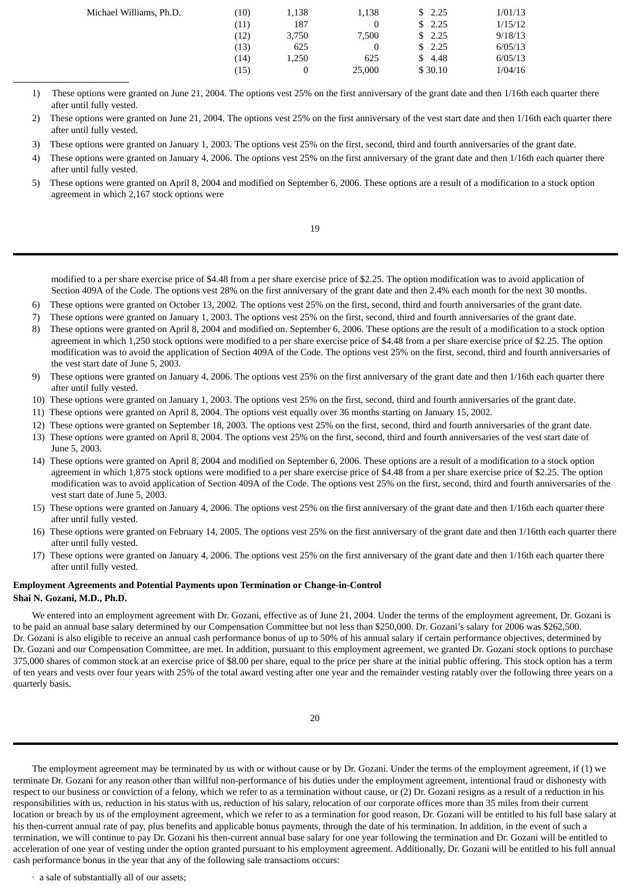| Michael Williams, Ph.D. | (10) | 1,138 | 1,138  | \$2.25  | 1/01/13 |
|-------------------------|------|-------|--------|---------|---------|
|                         | (11) | 187   |        | \$2.25  | 1/15/12 |
|                         | (12) | 3,750 | 7.500  | \$2.25  | 9/18/13 |
|                         | (13) | 625   |        | \$2.25  | 6/05/13 |
|                         | (14) | 1,250 | 625    | \$ 4.48 | 6/05/13 |
|                         | (15) |       | 25,000 | \$30.10 | 1/04/16 |
|                         |      |       |        |         |         |

- 1) These options were granted on June 21, 2004. The options vest 25% on the first anniversary of the grant date and then 1/16th each quarter there after until fully vested.
- 2) These options were granted on June 21, 2004. The options vest 25% on the first anniversary of the vest start date and then 1/16th each quarter there after until fully vested.
- 3) These options were granted on January 1, 2003. The options vest 25% on the first, second, third and fourth anniversaries of the grant date.
- 4) These options were granted on January 4, 2006. The options vest 25% on the first anniversary of the grant date and then 1/16th each quarter there after until fully vested.
- 5) These options were granted on April 8, 2004 and modified on September 6, 2006. These options are a result of a modification to a stock option agreement in which 2,167 stock options were

19

modified to a per share exercise price of \$4.48 from a per share exercise price of \$2.25. The option modification was to avoid application of Section 409A of the Code. The options vest 28% on the first anniversary of the grant date and then 2.4% each month for the next 30 months.

- 6) These options were granted on October 13, 2002. The options vest 25% on the first, second, third and fourth anniversaries of the grant date.
- 7) These options were granted on January 1, 2003. The options vest 25% on the first, second, third and fourth anniversaries of the grant date.
- 8) These options were granted on April 8, 2004 and modified on. September 6, 2006. These options are the result of a modification to a stock option agreement in which 1,250 stock options were modified to a per share exercise price of \$4.48 from a per share exercise price of \$2.25. The option modification was to avoid the application of Section 409A of the Code. The options vest 25% on the first, second, third and fourth anniversaries of the vest start date of June 5, 2003.
- 9) These options were granted on January 4, 2006. The options vest 25% on the first anniversary of the grant date and then 1/16th each quarter there after until fully vested.
- 10) These options were granted on January 1, 2003. The options vest 25% on the first, second, third and fourth anniversaries of the grant date.
- 11) These options were granted on April 8, 2004. The options vest equally over 36 months starting on January 15, 2002.
- 12) These options were granted on September 18, 2003. The options vest 25% on the first, second, third and fourth anniversaries of the grant date.
- 13) These options were granted on April 8, 2004. The options vest 25% on the first, second, third and fourth anniversaries of the vest start date of June 5, 2003.
- 14) These options were granted on April 8, 2004 and modified on September 6, 2006. These options are a result of a modification to a stock option agreement in which 1,875 stock options were modified to a per share exercise price of \$4.48 from a per share exercise price of \$2.25. The option modification was to avoid application of Section 409A of the Code. The options vest 25% on the first, second, third and fourth anniversaries of the vest start date of June 5, 2003.
- 15) These options were granted on January 4, 2006. The options vest 25% on the first anniversary of the grant date and then 1/16th each quarter there after until fully vested.
- 16) These options were granted on February 14, 2005. The options vest 25% on the first anniversary of the grant date and then 1/16tth each quarter there after until fully vested.
- 17) These options were granted on January 4, 2006. The options vest 25% on the first anniversary of the grant date and then 1/16th each quarter there after until fully vested.

# **Employment Agreements and Potential Payments upon Termination or Change-in-Control Shai N. Gozani, M.D., Ph.D.**

We entered into an employment agreement with Dr. Gozani, effective as of June 21, 2004. Under the terms of the employment agreement, Dr. Gozani is to be paid an annual base salary determined by our Compensation Committee but not less than \$250,000. Dr. Gozani's salary for 2006 was \$262,500. Dr. Gozani is also eligible to receive an annual cash performance bonus of up to 50% of his annual salary if certain performance objectives, determined by Dr. Gozani and our Compensation Committee, are met. In addition, pursuant to this employment agreement, we granted Dr. Gozani stock options to purchase 375,000 shares of common stock at an exercise price of \$8.00 per share, equal to the price per share at the initial public offering. This stock option has a term of ten years and vests over four years with 25% of the total award vesting after one year and the remainder vesting ratably over the following three years on a quarterly basis.

The employment agreement may be terminated by us with or without cause or by Dr. Gozani. Under the terms of the employment agreement, if (1) we terminate Dr. Gozani for any reason other than willful non-performance of his duties under the employment agreement, intentional fraud or dishonesty with respect to our business or conviction of a felony, which we refer to as a termination without cause, or (2) Dr. Gozani resigns as a result of a reduction in his responsibilities with us, reduction in his status with us, reduction of his salary, relocation of our corporate offices more than 35 miles from their current location or breach by us of the employment agreement, which we refer to as a termination for good reason, Dr. Gozani will be entitled to his full base salary at his then-current annual rate of pay, plus benefits and applicable bonus payments, through the date of his termination. In addition, in the event of such a termination, we will continue to pay Dr. Gozani his then-current annual base salary for one year following the termination and Dr. Gozani will be entitled to acceleration of one year of vesting under the option granted pursuant to his employment agreement. Additionally, Dr. Gozani will be entitled to his full annual cash performance bonus in the year that any of the following sale transactions occurs:

· a sale of substantially all of our assets;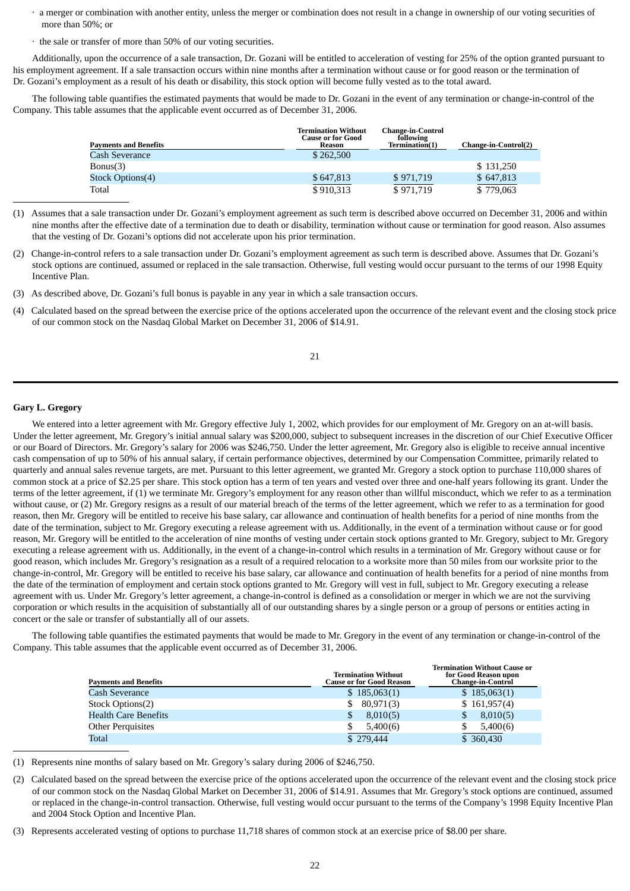- · a merger or combination with another entity, unless the merger or combination does not result in a change in ownership of our voting securities of more than 50%; or
- · the sale or transfer of more than 50% of our voting securities.

Additionally, upon the occurrence of a sale transaction, Dr. Gozani will be entitled to acceleration of vesting for 25% of the option granted pursuant to his employment agreement. If a sale transaction occurs within nine months after a termination without cause or for good reason or the termination of Dr. Gozani's employment as a result of his death or disability, this stock option will become fully vested as to the total award.

The following table quantifies the estimated payments that would be made to Dr. Gozani in the event of any termination or change-in-control of the Company. This table assumes that the applicable event occurred as of December 31, 2006.

| <b>Payments and Benefits</b> | <b>Termination Without</b><br><b>Cause or for Good</b><br>Reason | <b>Change-in-Control</b><br>following<br>Termination(1) | Change-in-Control(2) |
|------------------------------|------------------------------------------------------------------|---------------------------------------------------------|----------------------|
| Cash Severance               | \$262,500                                                        |                                                         |                      |
| Bonus(3)                     |                                                                  |                                                         | \$131,250            |
| Stock Options(4)             | \$647,813                                                        | \$971,719                                               | \$647,813            |
| Total                        | \$910,313                                                        | \$971,719                                               | \$779,063            |

<sup>(1)</sup> Assumes that a sale transaction under Dr. Gozani's employment agreement as such term is described above occurred on December 31, 2006 and within nine months after the effective date of a termination due to death or disability, termination without cause or termination for good reason. Also assumes that the vesting of Dr. Gozani's options did not accelerate upon his prior termination.

(2) Change-in-control refers to a sale transaction under Dr. Gozani's employment agreement as such term is described above. Assumes that Dr. Gozani's stock options are continued, assumed or replaced in the sale transaction. Otherwise, full vesting would occur pursuant to the terms of our 1998 Equity Incentive Plan.

(3) As described above, Dr. Gozani's full bonus is payable in any year in which a sale transaction occurs.

(4) Calculated based on the spread between the exercise price of the options accelerated upon the occurrence of the relevant event and the closing stock price of our common stock on the Nasdaq Global Market on December 31, 2006 of \$14.91.

# **Gary L. Gregory**

We entered into a letter agreement with Mr. Gregory effective July 1, 2002, which provides for our employment of Mr. Gregory on an at-will basis. Under the letter agreement, Mr. Gregory's initial annual salary was \$200,000, subject to subsequent increases in the discretion of our Chief Executive Officer or our Board of Directors. Mr. Gregory's salary for 2006 was \$246,750. Under the letter agreement, Mr. Gregory also is eligible to receive annual incentive cash compensation of up to 50% of his annual salary, if certain performance objectives, determined by our Compensation Committee, primarily related to quarterly and annual sales revenue targets, are met. Pursuant to this letter agreement, we granted Mr. Gregory a stock option to purchase 110,000 shares of common stock at a price of \$2.25 per share. This stock option has a term of ten years and vested over three and one-half years following its grant. Under the terms of the letter agreement, if (1) we terminate Mr. Gregory's employment for any reason other than willful misconduct, which we refer to as a termination without cause, or (2) Mr. Gregory resigns as a result of our material breach of the terms of the letter agreement, which we refer to as a termination for good reason, then Mr. Gregory will be entitled to receive his base salary, car allowance and continuation of health benefits for a period of nine months from the date of the termination, subject to Mr. Gregory executing a release agreement with us. Additionally, in the event of a termination without cause or for good reason, Mr. Gregory will be entitled to the acceleration of nine months of vesting under certain stock options granted to Mr. Gregory, subject to Mr. Gregory executing a release agreement with us. Additionally, in the event of a change-in-control which results in a termination of Mr. Gregory without cause or for good reason, which includes Mr. Gregory's resignation as a result of a required relocation to a worksite more than 50 miles from our worksite prior to the change-in-control, Mr. Gregory will be entitled to receive his base salary, car allowance and continuation of health benefits for a period of nine months from the date of the termination of employment and certain stock options granted to Mr. Gregory will vest in full, subject to Mr. Gregory executing a release agreement with us. Under Mr. Gregory's letter agreement, a change-in-control is defined as a consolidation or merger in which we are not the surviving corporation or which results in the acquisition of substantially all of our outstanding shares by a single person or a group of persons or entities acting in concert or the sale or transfer of substantially all of our assets.

The following table quantifies the estimated payments that would be made to Mr. Gregory in the event of any termination or change-in-control of the Company. This table assumes that the applicable event occurred as of December 31, 2006.

| <b>Payments and Benefits</b> | <b>Termination Without</b><br><b>Cause or for Good Reason</b> | <b>Termination Without Cause or</b><br>for Good Reason upon<br><b>Change-in-Control</b> |
|------------------------------|---------------------------------------------------------------|-----------------------------------------------------------------------------------------|
| Cash Severance               | \$185,063(1)                                                  | \$185,063(1)                                                                            |
| Stock Options(2)             | 80,971(3)                                                     | \$161,957(4)                                                                            |
| <b>Health Care Benefits</b>  | 8,010(5)<br>\$                                                | 8,010(5)<br>\$                                                                          |
| <b>Other Perquisites</b>     | 5,400(6)                                                      | 5,400(6)                                                                                |
| Total                        | \$279,444                                                     | \$ 360,430                                                                              |

(1) Represents nine months of salary based on Mr. Gregory's salary during 2006 of \$246,750.

- (2) Calculated based on the spread between the exercise price of the options accelerated upon the occurrence of the relevant event and the closing stock price of our common stock on the Nasdaq Global Market on December 31, 2006 of \$14.91. Assumes that Mr. Gregory's stock options are continued, assumed or replaced in the change-in-control transaction. Otherwise, full vesting would occur pursuant to the terms of the Company's 1998 Equity Incentive Plan and 2004 Stock Option and Incentive Plan.
- (3) Represents accelerated vesting of options to purchase 11,718 shares of common stock at an exercise price of \$8.00 per share.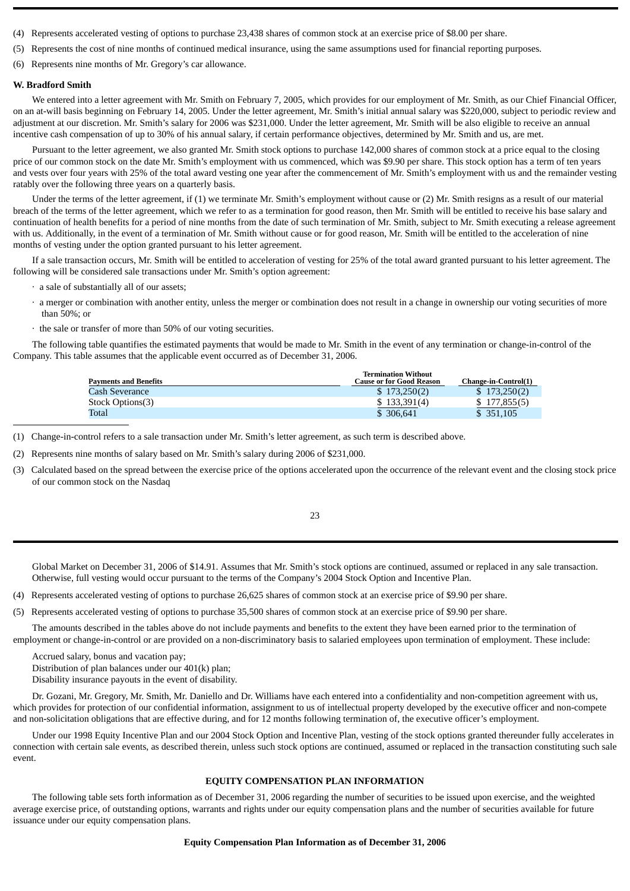- (4) Represents accelerated vesting of options to purchase 23,438 shares of common stock at an exercise price of \$8.00 per share.
- (5) Represents the cost of nine months of continued medical insurance, using the same assumptions used for financial reporting purposes.
- (6) Represents nine months of Mr. Gregory's car allowance.

#### **W. Bradford Smith**

We entered into a letter agreement with Mr. Smith on February 7, 2005, which provides for our employment of Mr. Smith, as our Chief Financial Officer, on an at-will basis beginning on February 14, 2005. Under the letter agreement, Mr. Smith's initial annual salary was \$220,000, subject to periodic review and adjustment at our discretion. Mr. Smith's salary for 2006 was \$231,000. Under the letter agreement, Mr. Smith will be also eligible to receive an annual incentive cash compensation of up to 30% of his annual salary, if certain performance objectives, determined by Mr. Smith and us, are met.

Pursuant to the letter agreement, we also granted Mr. Smith stock options to purchase 142,000 shares of common stock at a price equal to the closing price of our common stock on the date Mr. Smith's employment with us commenced, which was \$9.90 per share. This stock option has a term of ten years and vests over four years with 25% of the total award vesting one year after the commencement of Mr. Smith's employment with us and the remainder vesting ratably over the following three years on a quarterly basis.

Under the terms of the letter agreement, if (1) we terminate Mr. Smith's employment without cause or (2) Mr. Smith resigns as a result of our material breach of the terms of the letter agreement, which we refer to as a termination for good reason, then Mr. Smith will be entitled to receive his base salary and continuation of health benefits for a period of nine months from the date of such termination of Mr. Smith, subject to Mr. Smith executing a release agreement with us. Additionally, in the event of a termination of Mr. Smith without cause or for good reason, Mr. Smith will be entitled to the acceleration of nine months of vesting under the option granted pursuant to his letter agreement.

If a sale transaction occurs, Mr. Smith will be entitled to acceleration of vesting for 25% of the total award granted pursuant to his letter agreement. The following will be considered sale transactions under Mr. Smith's option agreement:

- · a sale of substantially all of our assets;
- · a merger or combination with another entity, unless the merger or combination does not result in a change in ownership our voting securities of more than 50%; or
- · the sale or transfer of more than 50% of our voting securities.

The following table quantifies the estimated payments that would be made to Mr. Smith in the event of any termination or change-in-control of the Company. This table assumes that the applicable event occurred as of December 31, 2006.

| <b>Payments and Benefits</b> | <b>Termination Without</b><br><b>Cause or for Good Reason</b> | Change-in-Control(1) |
|------------------------------|---------------------------------------------------------------|----------------------|
| Cash Severance               | \$173.250(2)                                                  | \$173,250(2)         |
| Stock Options(3)             | \$133,391(4)                                                  | \$177,855(5)         |
| Total                        | \$ 306,641                                                    | \$351,105            |

(1) Change-in-control refers to a sale transaction under Mr. Smith's letter agreement, as such term is described above.

(2) Represents nine months of salary based on Mr. Smith's salary during 2006 of \$231,000.

(3) Calculated based on the spread between the exercise price of the options accelerated upon the occurrence of the relevant event and the closing stock price of our common stock on the Nasdaq

23

Global Market on December 31, 2006 of \$14.91. Assumes that Mr. Smith's stock options are continued, assumed or replaced in any sale transaction. Otherwise, full vesting would occur pursuant to the terms of the Company's 2004 Stock Option and Incentive Plan.

- (4) Represents accelerated vesting of options to purchase 26,625 shares of common stock at an exercise price of \$9.90 per share.
- (5) Represents accelerated vesting of options to purchase 35,500 shares of common stock at an exercise price of \$9.90 per share.

The amounts described in the tables above do not include payments and benefits to the extent they have been earned prior to the termination of employment or change-in-control or are provided on a non-discriminatory basis to salaried employees upon termination of employment. These include:

Accrued salary, bonus and vacation pay; Distribution of plan balances under our 401(k) plan;

Disability insurance payouts in the event of disability.

Dr. Gozani, Mr. Gregory, Mr. Smith, Mr. Daniello and Dr. Williams have each entered into a confidentiality and non-competition agreement with us, which provides for protection of our confidential information, assignment to us of intellectual property developed by the executive officer and non-compete and non-solicitation obligations that are effective during, and for 12 months following termination of, the executive officer's employment.

Under our 1998 Equity Incentive Plan and our 2004 Stock Option and Incentive Plan, vesting of the stock options granted thereunder fully accelerates in connection with certain sale events, as described therein, unless such stock options are continued, assumed or replaced in the transaction constituting such sale event.

#### **EQUITY COMPENSATION PLAN INFORMATION**

The following table sets forth information as of December 31, 2006 regarding the number of securities to be issued upon exercise, and the weighted average exercise price, of outstanding options, warrants and rights under our equity compensation plans and the number of securities available for future issuance under our equity compensation plans.

#### **Equity Compensation Plan Information as of December 31, 2006**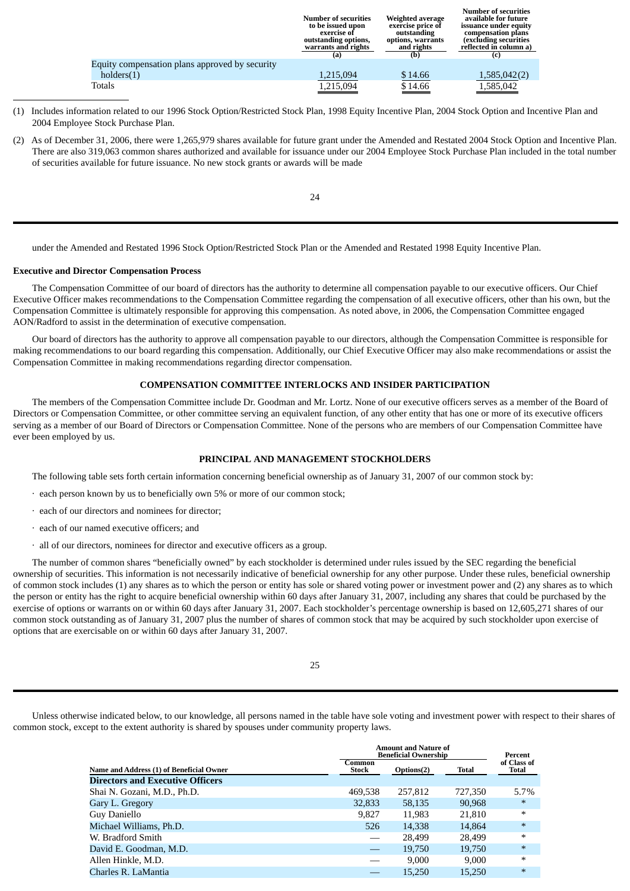| <b>Number of securities</b><br>to be issued upon<br>exercise of<br>outstanding options,<br>warrants and rights | Weighted average<br>exercise price of<br>outstanding<br>options, warrants<br>and rights | Number of securities<br>available for future<br>issuance under equity<br>compensation plans<br><i>(excluding securities)</i><br>reflected in column a)<br>(c) |
|----------------------------------------------------------------------------------------------------------------|-----------------------------------------------------------------------------------------|---------------------------------------------------------------------------------------------------------------------------------------------------------------|
|                                                                                                                |                                                                                         |                                                                                                                                                               |
| 1,215,094                                                                                                      | \$14.66                                                                                 | 1,585,042(2)                                                                                                                                                  |
| 1,215,094                                                                                                      | \$14.66                                                                                 | 1,585,042                                                                                                                                                     |
|                                                                                                                | (a)                                                                                     | (b)                                                                                                                                                           |

**Number of securities**

- (1) Includes information related to our 1996 Stock Option/Restricted Stock Plan, 1998 Equity Incentive Plan, 2004 Stock Option and Incentive Plan and 2004 Employee Stock Purchase Plan.
- (2) As of December 31, 2006, there were 1,265,979 shares available for future grant under the Amended and Restated 2004 Stock Option and Incentive Plan. There are also 319,063 common shares authorized and available for issuance under our 2004 Employee Stock Purchase Plan included in the total number of securities available for future issuance. No new stock grants or awards will be made

24

under the Amended and Restated 1996 Stock Option/Restricted Stock Plan or the Amended and Restated 1998 Equity Incentive Plan.

# **Executive and Director Compensation Process**

The Compensation Committee of our board of directors has the authority to determine all compensation payable to our executive officers. Our Chief Executive Officer makes recommendations to the Compensation Committee regarding the compensation of all executive officers, other than his own, but the Compensation Committee is ultimately responsible for approving this compensation. As noted above, in 2006, the Compensation Committee engaged AON/Radford to assist in the determination of executive compensation.

Our board of directors has the authority to approve all compensation payable to our directors, although the Compensation Committee is responsible for making recommendations to our board regarding this compensation. Additionally, our Chief Executive Officer may also make recommendations or assist the Compensation Committee in making recommendations regarding director compensation.

# **COMPENSATION COMMITTEE INTERLOCKS AND INSIDER PARTICIPATION**

The members of the Compensation Committee include Dr. Goodman and Mr. Lortz. None of our executive officers serves as a member of the Board of Directors or Compensation Committee, or other committee serving an equivalent function, of any other entity that has one or more of its executive officers serving as a member of our Board of Directors or Compensation Committee. None of the persons who are members of our Compensation Committee have ever been employed by us.

#### **PRINCIPAL AND MANAGEMENT STOCKHOLDERS**

The following table sets forth certain information concerning beneficial ownership as of January 31, 2007 of our common stock by:

- · each person known by us to beneficially own 5% or more of our common stock;
- · each of our directors and nominees for director;
- · each of our named executive officers; and
- · all of our directors, nominees for director and executive officers as a group.

The number of common shares "beneficially owned" by each stockholder is determined under rules issued by the SEC regarding the beneficial ownership of securities. This information is not necessarily indicative of beneficial ownership for any other purpose. Under these rules, beneficial ownership of common stock includes (1) any shares as to which the person or entity has sole or shared voting power or investment power and (2) any shares as to which the person or entity has the right to acquire beneficial ownership within 60 days after January 31, 2007, including any shares that could be purchased by the exercise of options or warrants on or within 60 days after January 31, 2007. Each stockholder's percentage ownership is based on 12,605,271 shares of our common stock outstanding as of January 31, 2007 plus the number of shares of common stock that may be acquired by such stockholder upon exercise of options that are exercisable on or within 60 days after January 31, 2007.

Unless otherwise indicated below, to our knowledge, all persons named in the table have sole voting and investment power with respect to their shares of common stock, except to the extent authority is shared by spouses under community property laws.

|                                          | <b>Amount and Nature of</b><br><b>Beneficial Ownership</b> |            |         | Percent              |
|------------------------------------------|------------------------------------------------------------|------------|---------|----------------------|
| Name and Address (1) of Beneficial Owner | Common<br><b>Stock</b>                                     | Options(2) | Total   | of Class of<br>Total |
| <b>Directors and Executive Officers</b>  |                                                            |            |         |                      |
| Shai N. Gozani, M.D., Ph.D.              | 469,538                                                    | 257,812    | 727,350 | 5.7%                 |
| Gary L. Gregory                          | 32,833                                                     | 58,135     | 90,968  | $\ast$               |
| Guy Daniello                             | 9,827                                                      | 11,983     | 21,810  | $\ast$               |
| Michael Williams, Ph.D.                  | 526                                                        | 14,338     | 14.864  | $\ast$               |
| W. Bradford Smith                        |                                                            | 28.499     | 28.499  | $\ast$               |
| David E. Goodman, M.D.                   |                                                            | 19.750     | 19.750  | $\ast$               |
| Allen Hinkle, M.D.                       |                                                            | 9.000      | 9.000   | $\ast$               |
| Charles R. LaMantia                      |                                                            | 15.250     | 15.250  | $\ast$               |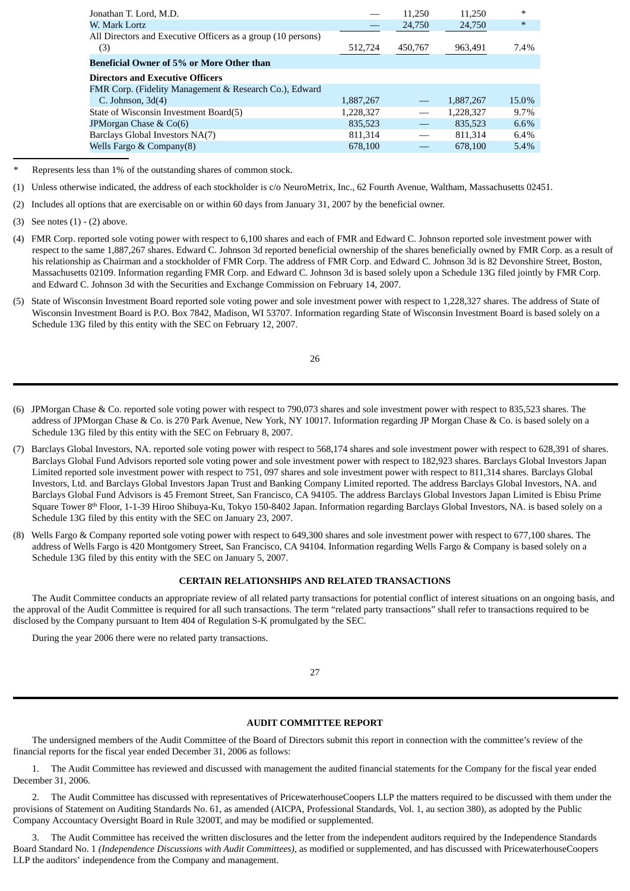| Jonathan T. Lord, M.D.                                       |           | 11.250  | 11.250    | $\ast$  |
|--------------------------------------------------------------|-----------|---------|-----------|---------|
| W. Mark Lortz                                                |           | 24,750  | 24,750    | $\ast$  |
| All Directors and Executive Officers as a group (10 persons) |           |         |           |         |
| (3)                                                          | 512,724   | 450,767 | 963,491   | 7.4%    |
| <b>Beneficial Owner of 5% or More Other than</b>             |           |         |           |         |
| <b>Directors and Executive Officers</b>                      |           |         |           |         |
| FMR Corp. (Fidelity Management & Research Co.), Edward       |           |         |           |         |
| C. Johnson, $3d(4)$                                          | 1,887,267 |         | 1.887.267 | 15.0%   |
| State of Wisconsin Investment Board(5)                       | 1,228,327 |         | 1,228,327 | $9.7\%$ |
| JPMorgan Chase & Co(6)                                       | 835,523   |         | 835,523   | 6.6%    |
| Barclays Global Investors NA(7)                              | 811.314   |         | 811.314   | 6.4%    |
| Wells Fargo & Company $(8)$                                  | 678,100   |         | 678.100   | 5.4%    |
|                                                              |           |         |           |         |

*\** Represents less than 1% of the outstanding shares of common stock.

(2) Includes all options that are exercisable on or within 60 days from January 31, 2007 by the beneficial owner.

- (4) FMR Corp. reported sole voting power with respect to 6,100 shares and each of FMR and Edward C. Johnson reported sole investment power with respect to the same 1,887,267 shares. Edward C. Johnson 3d reported beneficial ownership of the shares beneficially owned by FMR Corp. as a result of his relationship as Chairman and a stockholder of FMR Corp. The address of FMR Corp. and Edward C. Johnson 3d is 82 Devonshire Street, Boston, Massachusetts 02109. Information regarding FMR Corp. and Edward C. Johnson 3d is based solely upon a Schedule 13G filed jointly by FMR Corp. and Edward C. Johnson 3d with the Securities and Exchange Commission on February 14, 2007.
- (5) State of Wisconsin Investment Board reported sole voting power and sole investment power with respect to 1,228,327 shares. The address of State of Wisconsin Investment Board is P.O. Box 7842, Madison, WI 53707. Information regarding State of Wisconsin Investment Board is based solely on a Schedule 13G filed by this entity with the SEC on February 12, 2007.

- (6) JPMorgan Chase & Co. reported sole voting power with respect to 790,073 shares and sole investment power with respect to 835,523 shares. The address of JPMorgan Chase & Co. is 270 Park Avenue, New York, NY 10017. Information regarding JP Morgan Chase & Co. is based solely on a Schedule 13G filed by this entity with the SEC on February 8, 2007.
- (7) Barclays Global Investors, NA. reported sole voting power with respect to 568,174 shares and sole investment power with respect to 628,391 of shares. Barclays Global Fund Advisors reported sole voting power and sole investment power with respect to 182,923 shares. Barclays Global Investors Japan Limited reported sole investment power with respect to 751, 097 shares and sole investment power with respect to 811,314 shares. Barclays Global Investors, Ltd. and Barclays Global Investors Japan Trust and Banking Company Limited reported. The address Barclays Global Investors, NA. and Barclays Global Fund Advisors is 45 Fremont Street, San Francisco, CA 94105. The address Barclays Global Investors Japan Limited is Ebisu Prime Square Tower 8<sup>th</sup> Floor, 1-1-39 Hiroo Shibuya-Ku, Tokyo 150-8402 Japan. Information regarding Barclays Global Investors, NA. is based solely on a Schedule 13G filed by this entity with the SEC on January 23, 2007.
- (8) Wells Fargo & Company reported sole voting power with respect to 649,300 shares and sole investment power with respect to 677,100 shares. The address of Wells Fargo is 420 Montgomery Street, San Francisco, CA 94104. Information regarding Wells Fargo & Company is based solely on a Schedule 13G filed by this entity with the SEC on January 5, 2007.

# **CERTAIN RELATIONSHIPS AND RELATED TRANSACTIONS**

The Audit Committee conducts an appropriate review of all related party transactions for potential conflict of interest situations on an ongoing basis, and the approval of the Audit Committee is required for all such transactions. The term "related party transactions" shall refer to transactions required to be disclosed by the Company pursuant to Item 404 of Regulation S-K promulgated by the SEC.

During the year 2006 there were no related party transactions.

#### 27

# **AUDIT COMMITTEE REPORT**

The undersigned members of the Audit Committee of the Board of Directors submit this report in connection with the committee's review of the financial reports for the fiscal year ended December 31, 2006 as follows:

1. The Audit Committee has reviewed and discussed with management the audited financial statements for the Company for the fiscal year ended December 31, 2006.

2. The Audit Committee has discussed with representatives of PricewaterhouseCoopers LLP the matters required to be discussed with them under the provisions of Statement on Auditing Standards No. 61, as amended (AICPA, Professional Standards, Vol. 1, au section 380), as adopted by the Public Company Accountacy Oversight Board in Rule 3200T, and may be modified or supplemented.

3. The Audit Committee has received the written disclosures and the letter from the independent auditors required by the Independence Standards Board Standard No. 1 *(Independence Discussions with Audit Committees),* as modified or supplemented, and has discussed with PricewaterhouseCoopers LLP the auditors' independence from the Company and management.

<sup>(1)</sup> Unless otherwise indicated, the address of each stockholder is c/o NeuroMetrix, Inc., 62 Fourth Avenue, Waltham, Massachusetts 02451.

<sup>(3)</sup> See notes (1) - (2) above.

<sup>26</sup>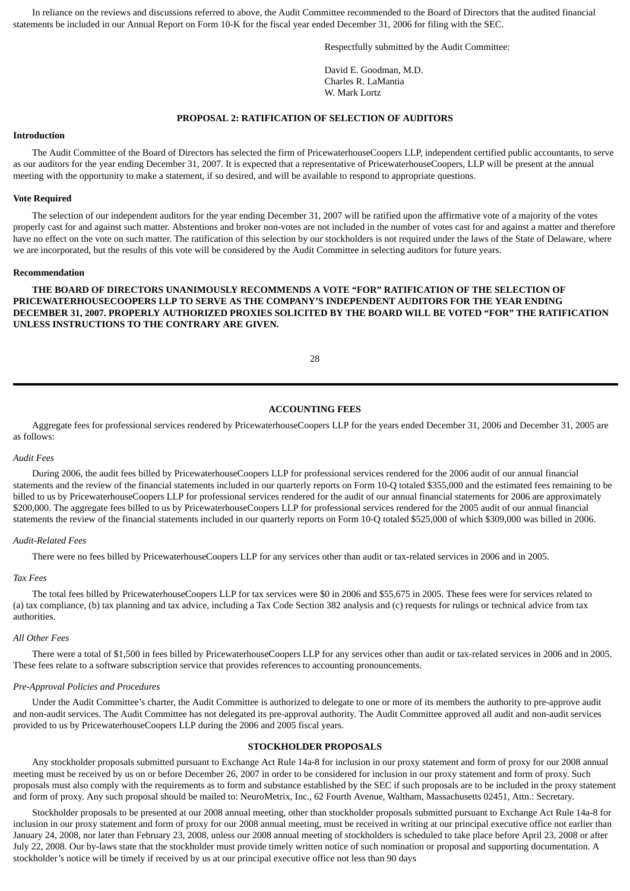In reliance on the reviews and discussions referred to above, the Audit Committee recommended to the Board of Directors that the audited financial statements be included in our Annual Report on Form 10-K for the fiscal year ended December 31, 2006 for filing with the SEC.

Respectfully submitted by the Audit Committee:

David E. Goodman, M.D. Charles R. LaMantia W. Mark Lortz

# **PROPOSAL 2: RATIFICATION OF SELECTION OF AUDITORS**

#### **Introduction**

The Audit Committee of the Board of Directors has selected the firm of PricewaterhouseCoopers LLP, independent certified public accountants, to serve as our auditors for the year ending December 31, 2007. It is expected that a representative of PricewaterhouseCoopers, LLP will be present at the annual meeting with the opportunity to make a statement, if so desired, and will be available to respond to appropriate questions.

#### **Vote Required**

The selection of our independent auditors for the year ending December 31, 2007 will be ratified upon the affirmative vote of a majority of the votes properly cast for and against such matter. Abstentions and broker non-votes are not included in the number of votes cast for and against a matter and therefore have no effect on the vote on such matter. The ratification of this selection by our stockholders is not required under the laws of the State of Delaware, where we are incorporated, but the results of this vote will be considered by the Audit Committee in selecting auditors for future years.

#### **Recommendation**

**THE BOARD OF DIRECTORS UNANIMOUSLY RECOMMENDS A VOTE "FOR" RATIFICATION OF THE SELECTION OF PRICEWATERHOUSECOOPERS LLP TO SERVE AS THE COMPANY'S INDEPENDENT AUDITORS FOR THE YEAR ENDING DECEMBER 31, 2007. PROPERLY AUTHORIZED PROXIES SOLICITED BY THE BOARD WILL BE VOTED "FOR" THE RATIFICATION UNLESS INSTRUCTIONS TO THE CONTRARY ARE GIVEN.**

28

# **ACCOUNTING FEES**

Aggregate fees for professional services rendered by PricewaterhouseCoopers LLP for the years ended December 31, 2006 and December 31, 2005 are as follows:

#### *Audit Fees*

During 2006, the audit fees billed by PricewaterhouseCoopers LLP for professional services rendered for the 2006 audit of our annual financial statements and the review of the financial statements included in our quarterly reports on Form 10-Q totaled \$355,000 and the estimated fees remaining to be billed to us by PricewaterhouseCoopers LLP for professional services rendered for the audit of our annual financial statements for 2006 are approximately \$200,000. The aggregate fees billed to us by PricewaterhouseCoopers LLP for professional services rendered for the 2005 audit of our annual financial statements the review of the financial statements included in our quarterly reports on Form 10-Q totaled \$525,000 of which \$309,000 was billed in 2006.

#### *Audit-Related Fees*

There were no fees billed by PricewaterhouseCoopers LLP for any services other than audit or tax-related services in 2006 and in 2005.

#### *Tax Fees*

The total fees billed by PricewaterhouseCoopers LLP for tax services were \$0 in 2006 and \$55,675 in 2005. These fees were for services related to (a) tax compliance, (b) tax planning and tax advice, including a Tax Code Section 382 analysis and (c) requests for rulings or technical advice from tax authorities.

#### *All Other Fees*

There were a total of \$1,500 in fees billed by PricewaterhouseCoopers LLP for any services other than audit or tax-related services in 2006 and in 2005. These fees relate to a software subscription service that provides references to accounting pronouncements.

#### *Pre-Approval Policies and Procedures*

Under the Audit Committee's charter, the Audit Committee is authorized to delegate to one or more of its members the authority to pre-approve audit and non-audit services. The Audit Committee has not delegated its pre-approval authority. The Audit Committee approved all audit and non-audit services provided to us by PricewaterhouseCoopers LLP during the 2006 and 2005 fiscal years.

# **STOCKHOLDER PROPOSALS**

Any stockholder proposals submitted pursuant to Exchange Act Rule 14a-8 for inclusion in our proxy statement and form of proxy for our 2008 annual meeting must be received by us on or before December 26, 2007 in order to be considered for inclusion in our proxy statement and form of proxy. Such proposals must also comply with the requirements as to form and substance established by the SEC if such proposals are to be included in the proxy statement and form of proxy. Any such proposal should be mailed to: NeuroMetrix, Inc., 62 Fourth Avenue, Waltham, Massachusetts 02451, Attn.: Secretary.

Stockholder proposals to be presented at our 2008 annual meeting, other than stockholder proposals submitted pursuant to Exchange Act Rule 14a-8 for inclusion in our proxy statement and form of proxy for our 2008 annual meeting, must be received in writing at our principal executive office not earlier than January 24, 2008, nor later than February 23, 2008, unless our 2008 annual meeting of stockholders is scheduled to take place before April 23, 2008 or after July 22, 2008. Our by-laws state that the stockholder must provide timely written notice of such nomination or proposal and supporting documentation. A stockholder's notice will be timely if received by us at our principal executive office not less than 90 days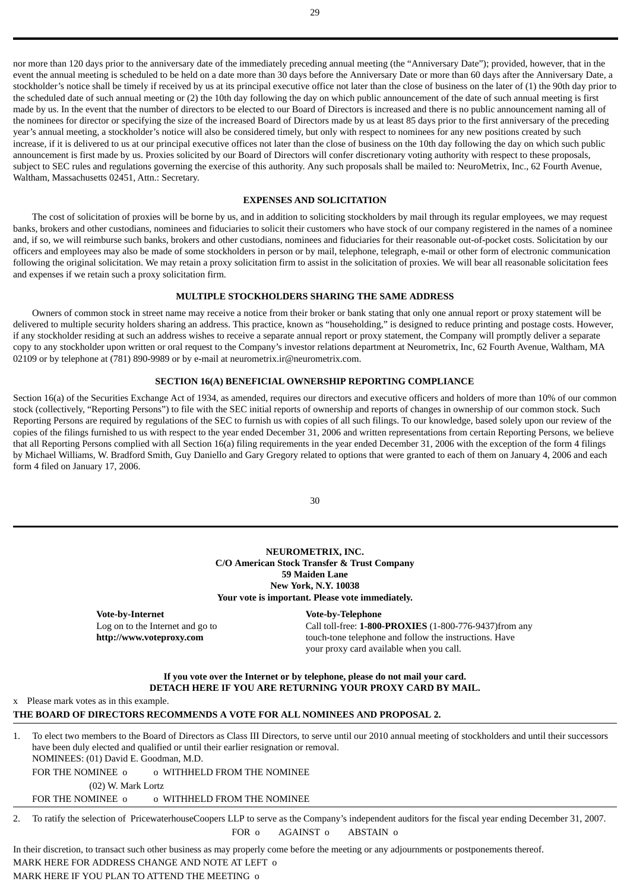nor more than 120 days prior to the anniversary date of the immediately preceding annual meeting (the "Anniversary Date"); provided, however, that in the event the annual meeting is scheduled to be held on a date more than 30 days before the Anniversary Date or more than 60 days after the Anniversary Date, a stockholder's notice shall be timely if received by us at its principal executive office not later than the close of business on the later of (1) the 90th day prior to the scheduled date of such annual meeting or (2) the 10th day following the day on which public announcement of the date of such annual meeting is first made by us. In the event that the number of directors to be elected to our Board of Directors is increased and there is no public announcement naming all of the nominees for director or specifying the size of the increased Board of Directors made by us at least 85 days prior to the first anniversary of the preceding year's annual meeting, a stockholder's notice will also be considered timely, but only with respect to nominees for any new positions created by such increase, if it is delivered to us at our principal executive offices not later than the close of business on the 10th day following the day on which such public announcement is first made by us. Proxies solicited by our Board of Directors will confer discretionary voting authority with respect to these proposals, subject to SEC rules and regulations governing the exercise of this authority. Any such proposals shall be mailed to: NeuroMetrix, Inc., 62 Fourth Avenue, Waltham, Massachusetts 02451, Attn.: Secretary.

#### **EXPENSES AND SOLICITATION**

The cost of solicitation of proxies will be borne by us, and in addition to soliciting stockholders by mail through its regular employees, we may request banks, brokers and other custodians, nominees and fiduciaries to solicit their customers who have stock of our company registered in the names of a nominee and, if so, we will reimburse such banks, brokers and other custodians, nominees and fiduciaries for their reasonable out-of-pocket costs. Solicitation by our officers and employees may also be made of some stockholders in person or by mail, telephone, telegraph, e-mail or other form of electronic communication following the original solicitation. We may retain a proxy solicitation firm to assist in the solicitation of proxies. We will bear all reasonable solicitation fees and expenses if we retain such a proxy solicitation firm.

# **MULTIPLE STOCKHOLDERS SHARING THE SAME ADDRESS**

Owners of common stock in street name may receive a notice from their broker or bank stating that only one annual report or proxy statement will be delivered to multiple security holders sharing an address. This practice, known as "householding," is designed to reduce printing and postage costs. However, if any stockholder residing at such an address wishes to receive a separate annual report or proxy statement, the Company will promptly deliver a separate copy to any stockholder upon written or oral request to the Company's investor relations department at Neurometrix, Inc, 62 Fourth Avenue, Waltham, MA 02109 or by telephone at (781) 890-9989 or by e-mail at neurometrix.ir@neurometrix.com.

# **SECTION 16(A) BENEFICIAL OWNERSHIP REPORTING COMPLIANCE**

Section 16(a) of the Securities Exchange Act of 1934, as amended, requires our directors and executive officers and holders of more than 10% of our common stock (collectively, "Reporting Persons") to file with the SEC initial reports of ownership and reports of changes in ownership of our common stock. Such Reporting Persons are required by regulations of the SEC to furnish us with copies of all such filings. To our knowledge, based solely upon our review of the copies of the filings furnished to us with respect to the year ended December 31, 2006 and written representations from certain Reporting Persons, we believe that all Reporting Persons complied with all Section 16(a) filing requirements in the year ended December 31, 2006 with the exception of the form 4 filings by Michael Williams, W. Bradford Smith, Guy Daniello and Gary Gregory related to options that were granted to each of them on January 4, 2006 and each form 4 filed on January 17, 2006.

30

# **NEUROMETRIX, INC. C/O American Stock Transfer & Trust Company 59 Maiden Lane New York, N.Y. 10038 Your vote is important. Please vote immediately.**

**Vote-by-Internet Vote-by-Telephone** Log on to the Internet and go to **http://www.voteproxy.com**

Call toll-free: **1-800-PROXIES** (1-800-776-9437)from any touch-tone telephone and follow the instructions. Have your proxy card available when you call.

**If you vote over the Internet or by telephone, please do not mail your card. DETACH HERE IF YOU ARE RETURNING YOUR PROXY CARD BY MAIL.**

x Please mark votes as in this example.

#### **THE BOARD OF DIRECTORS RECOMMENDS A VOTE FOR ALL NOMINEES AND PROPOSAL 2.**

1. To elect two members to the Board of Directors as Class III Directors, to serve until our 2010 annual meeting of stockholders and until their successors have been duly elected and qualified or until their earlier resignation or removal. NOMINEES: (01) David E. Goodman, M.D.

FOR THE NOMINEE  $\circ$  o WITHHELD FROM THE NOMINEE (02) W. Mark Lortz

FOR THE NOMINEE  $o$  o WITHHELD FROM THE NOMINEE

2. To ratify the selection of PricewaterhouseCoopers LLP to serve as the Company's independent auditors for the fiscal year ending December 31, 2007. FOR o AGAINST o ABSTAIN o

In their discretion, to transact such other business as may properly come before the meeting or any adjournments or postponements thereof. MARK HERE FOR ADDRESS CHANGE AND NOTE AT LEFT o

MARK HERE IF YOU PLAN TO ATTEND THE MEETING o